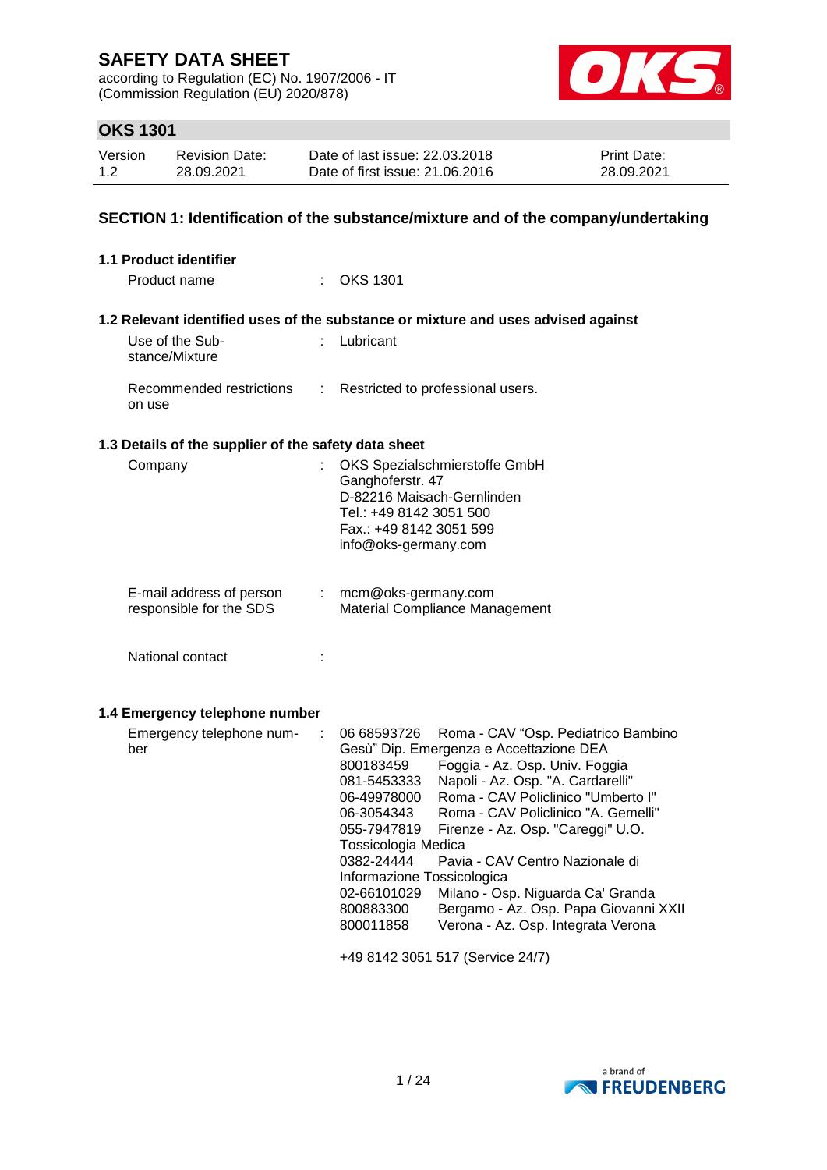according to Regulation (EC) No. 1907/2006 - IT (Commission Regulation (EU) 2020/878)



## **OKS 1301**

| Version | <b>Revision Date:</b> | Date of last issue: 22.03.2018  | <b>Print Date:</b> |
|---------|-----------------------|---------------------------------|--------------------|
| 1.2     | 28.09.2021            | Date of first issue: 21.06.2016 | 28.09.2021         |

## **SECTION 1: Identification of the substance/mixture and of the company/undertaking**

| 1.1 Product identifier                               |                                                                                                                                                                                                                                                                                                                                                                                                                                                                                                                                                                                                                                                                       |
|------------------------------------------------------|-----------------------------------------------------------------------------------------------------------------------------------------------------------------------------------------------------------------------------------------------------------------------------------------------------------------------------------------------------------------------------------------------------------------------------------------------------------------------------------------------------------------------------------------------------------------------------------------------------------------------------------------------------------------------|
| Product name                                         | : OKS 1301                                                                                                                                                                                                                                                                                                                                                                                                                                                                                                                                                                                                                                                            |
|                                                      | 1.2 Relevant identified uses of the substance or mixture and uses advised against                                                                                                                                                                                                                                                                                                                                                                                                                                                                                                                                                                                     |
| Use of the Sub-<br>stance/Mixture                    | : Lubricant                                                                                                                                                                                                                                                                                                                                                                                                                                                                                                                                                                                                                                                           |
| Recommended restrictions<br>÷<br>on use              | Restricted to professional users.                                                                                                                                                                                                                                                                                                                                                                                                                                                                                                                                                                                                                                     |
| 1.3 Details of the supplier of the safety data sheet |                                                                                                                                                                                                                                                                                                                                                                                                                                                                                                                                                                                                                                                                       |
| Company<br>ł.                                        | OKS Spezialschmierstoffe GmbH<br>Ganghoferstr. 47<br>D-82216 Maisach-Gernlinden<br>Tel.: +49 8142 3051 500<br>Fax.: +49 8142 3051 599<br>info@oks-germany.com                                                                                                                                                                                                                                                                                                                                                                                                                                                                                                         |
| E-mail address of person<br>responsible for the SDS  | mcm@oks-germany.com<br>Material Compliance Management                                                                                                                                                                                                                                                                                                                                                                                                                                                                                                                                                                                                                 |
| National contact<br>÷                                |                                                                                                                                                                                                                                                                                                                                                                                                                                                                                                                                                                                                                                                                       |
| 1.4 Emergency telephone number                       |                                                                                                                                                                                                                                                                                                                                                                                                                                                                                                                                                                                                                                                                       |
| Emergency telephone num-<br>÷<br>ber                 | 06 68593726<br>Roma - CAV "Osp. Pediatrico Bambino<br>Gesù" Dip. Emergenza e Accettazione DEA<br>800183459<br>Foggia - Az. Osp. Univ. Foggia<br>Napoli - Az. Osp. "A. Cardarelli"<br>081-5453333<br>Roma - CAV Policlinico "Umberto I"<br>06-49978000<br>Roma - CAV Policlinico "A. Gemelli"<br>06-3054343<br>055-7947819<br>Firenze - Az. Osp. "Careggi" U.O.<br>Tossicologia Medica<br>0382-24444<br>Pavia - CAV Centro Nazionale di<br>Informazione Tossicologica<br>Milano - Osp. Niguarda Ca' Granda<br>02-66101029<br>Bergamo - Az. Osp. Papa Giovanni XXII<br>800883300<br>Verona - Az. Osp. Integrata Verona<br>800011858<br>+49 8142 3051 517 (Service 24/7) |

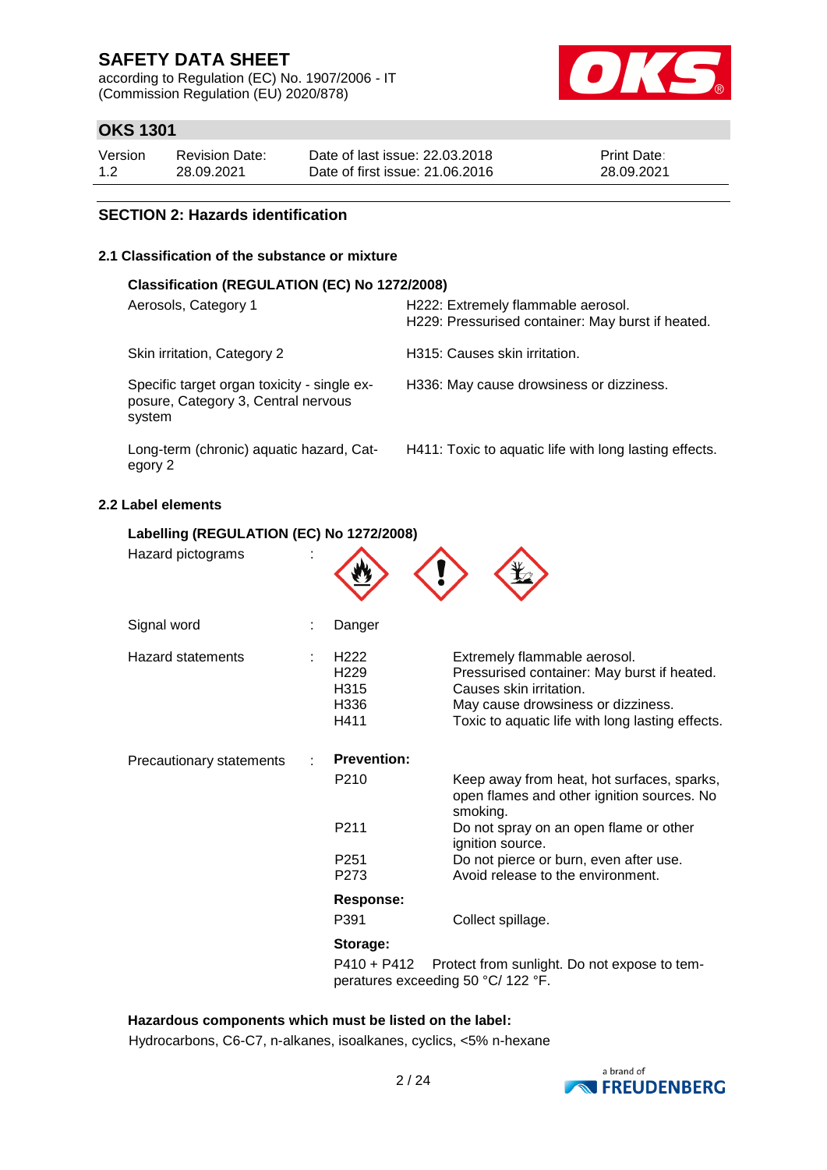according to Regulation (EC) No. 1907/2006 - IT (Commission Regulation (EU) 2020/878)



## **OKS 1301**

| Version | <b>Revision Date:</b> | Date of last issue: 22,03,2018  | <b>Print Date:</b> |
|---------|-----------------------|---------------------------------|--------------------|
| 1.2     | 28.09.2021            | Date of first issue: 21,06,2016 | 28.09.2021         |

### **SECTION 2: Hazards identification**

### **2.1 Classification of the substance or mixture**

| Classification (REGULATION (EC) No 1272/2008)                                                |                                                                                         |  |  |  |  |
|----------------------------------------------------------------------------------------------|-----------------------------------------------------------------------------------------|--|--|--|--|
| Aerosols, Category 1                                                                         | H222: Extremely flammable aerosol.<br>H229: Pressurised container: May burst if heated. |  |  |  |  |
| Skin irritation, Category 2                                                                  | H315: Causes skin irritation.                                                           |  |  |  |  |
| Specific target organ toxicity - single ex-<br>posure, Category 3, Central nervous<br>system | H336: May cause drowsiness or dizziness.                                                |  |  |  |  |
| Long-term (chronic) aquatic hazard, Cat-<br>egory 2                                          | H411: Toxic to aquatic life with long lasting effects.                                  |  |  |  |  |

### **2.2 Label elements**

| Labelling (REGULATION (EC) No 1272/2008) |                                                               |                                                                                                                                                                                                  |
|------------------------------------------|---------------------------------------------------------------|--------------------------------------------------------------------------------------------------------------------------------------------------------------------------------------------------|
| Hazard pictograms                        |                                                               |                                                                                                                                                                                                  |
| Signal word                              | Danger                                                        |                                                                                                                                                                                                  |
| <b>Hazard statements</b>                 | H <sub>222</sub><br>H229<br>H315<br>H336<br>H411              | Extremely flammable aerosol.<br>Pressurised container: May burst if heated.<br>Causes skin irritation.<br>May cause drowsiness or dizziness.<br>Toxic to aquatic life with long lasting effects. |
| Precautionary statements                 | <b>Prevention:</b>                                            |                                                                                                                                                                                                  |
|                                          | P <sub>210</sub>                                              | Keep away from heat, hot surfaces, sparks,<br>open flames and other ignition sources. No<br>smoking.                                                                                             |
|                                          | P <sub>211</sub>                                              | Do not spray on an open flame or other<br>ignition source.                                                                                                                                       |
|                                          | P251                                                          | Do not pierce or burn, even after use.                                                                                                                                                           |
|                                          | P273                                                          | Avoid release to the environment.                                                                                                                                                                |
|                                          | Response:                                                     |                                                                                                                                                                                                  |
|                                          | P391                                                          | Collect spillage.                                                                                                                                                                                |
|                                          | Storage:<br>P410 + P412<br>peratures exceeding 50 °C/ 122 °F. | Protect from sunlight. Do not expose to tem-                                                                                                                                                     |

### **Hazardous components which must be listed on the label:**

Hydrocarbons, C6-C7, n-alkanes, isoalkanes, cyclics, <5% n-hexane

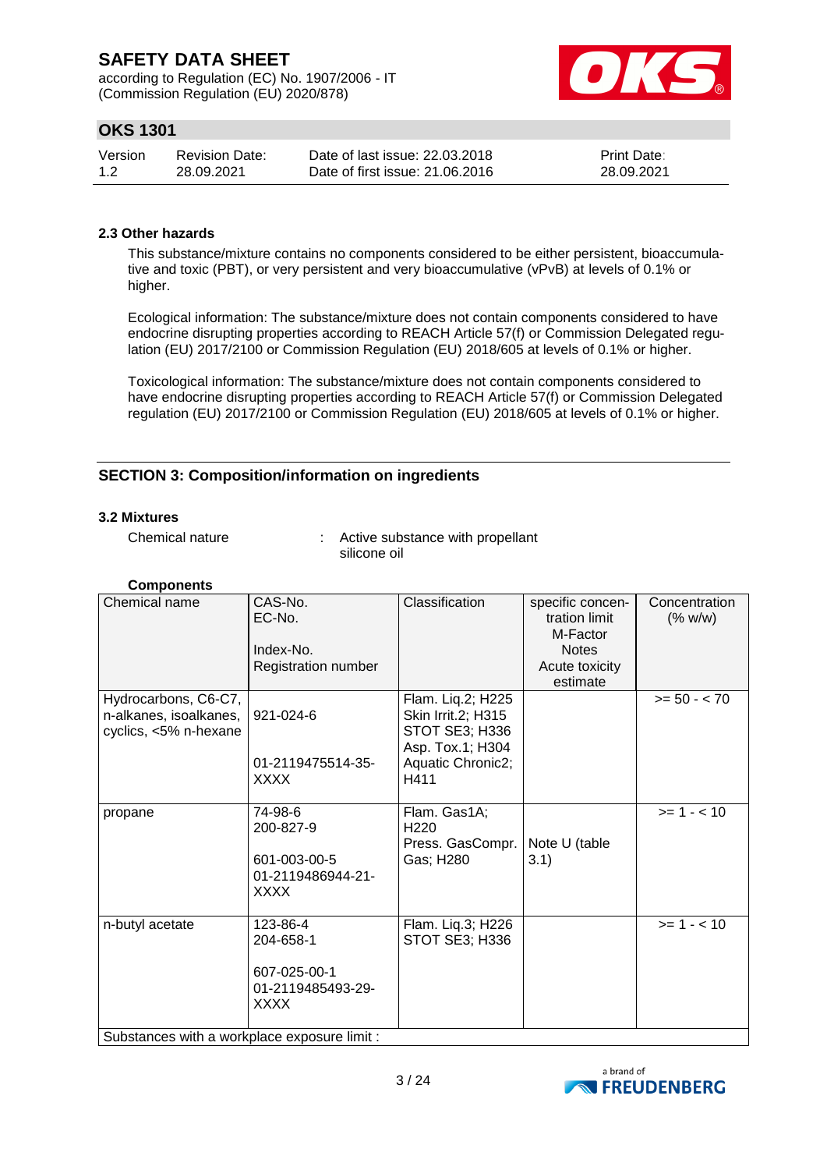according to Regulation (EC) No. 1907/2006 - IT (Commission Regulation (EU) 2020/878)



## **OKS 1301**

| Version | Revision Date: | Date of last issue: 22,03,2018  | <b>Print Date:</b> |
|---------|----------------|---------------------------------|--------------------|
| 1.2     | 28.09.2021     | Date of first issue: 21,06,2016 | 28.09.2021         |

### **2.3 Other hazards**

This substance/mixture contains no components considered to be either persistent, bioaccumulative and toxic (PBT), or very persistent and very bioaccumulative (vPvB) at levels of 0.1% or higher.

Ecological information: The substance/mixture does not contain components considered to have endocrine disrupting properties according to REACH Article 57(f) or Commission Delegated regulation (EU) 2017/2100 or Commission Regulation (EU) 2018/605 at levels of 0.1% or higher.

Toxicological information: The substance/mixture does not contain components considered to have endocrine disrupting properties according to REACH Article 57(f) or Commission Delegated regulation (EU) 2017/2100 or Commission Regulation (EU) 2018/605 at levels of 0.1% or higher.

## **SECTION 3: Composition/information on ingredients**

#### **3.2 Mixtures**

Chemical nature : Active substance with propellant silicone oil

| <b>Components</b> |  |
|-------------------|--|
|-------------------|--|

| Chemical name                                                           | CAS-No.<br>EC-No.<br>Index-No.<br>Registration number                     | Classification                                                                                             | specific concen-<br>tration limit<br>M-Factor<br><b>Notes</b><br>Acute toxicity<br>estimate | Concentration<br>(% w/w) |  |  |
|-------------------------------------------------------------------------|---------------------------------------------------------------------------|------------------------------------------------------------------------------------------------------------|---------------------------------------------------------------------------------------------|--------------------------|--|--|
| Hydrocarbons, C6-C7,<br>n-alkanes, isoalkanes,<br>cyclics, <5% n-hexane | 921-024-6<br>01-2119475514-35-<br><b>XXXX</b>                             | Flam. Liq.2; H225<br>Skin Irrit.2; H315<br>STOT SE3; H336<br>Asp. Tox.1; H304<br>Aquatic Chronic2;<br>H411 |                                                                                             | $>= 50 - < 70$           |  |  |
| propane                                                                 | 74-98-6<br>200-827-9<br>601-003-00-5<br>01-2119486944-21-<br><b>XXXX</b>  | Flam. Gas1A;<br>H <sub>220</sub><br>Press. GasCompr.<br>Gas; H280                                          | Note U (table<br>3.1)                                                                       | $>= 1 - < 10$            |  |  |
| n-butyl acetate                                                         | 123-86-4<br>204-658-1<br>607-025-00-1<br>01-2119485493-29-<br><b>XXXX</b> | Flam. Liq.3; H226<br>STOT SE3; H336                                                                        |                                                                                             | $>= 1 - 10$              |  |  |
| Substances with a workplace exposure limit :                            |                                                                           |                                                                                                            |                                                                                             |                          |  |  |

a brand of **N** FREUDENBERG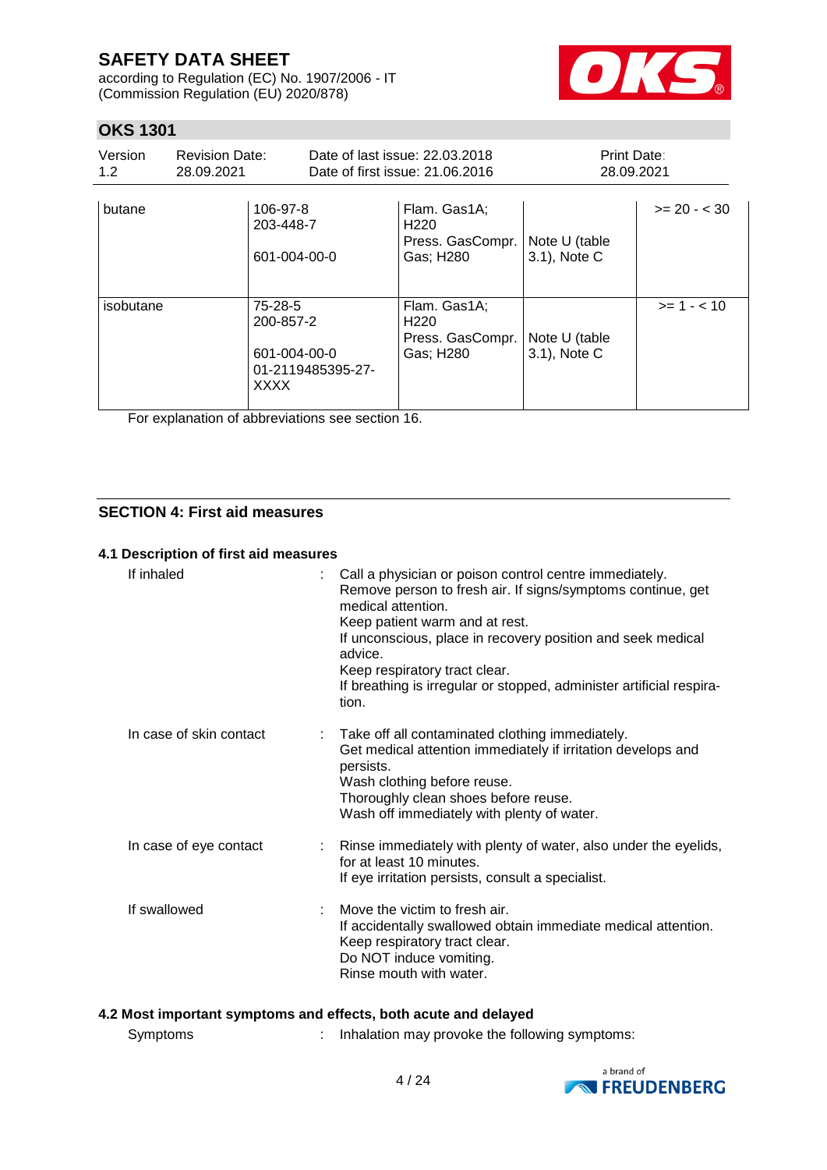according to Regulation (EC) No. 1907/2006 - IT (Commission Regulation (EU) 2020/878)



## **OKS 1301**

| Version<br>1.2 | <b>Revision Date:</b><br>28.09.2021 |                                                                          | Date of last issue: 22.03.2018<br>Date of first issue: 21,06,2016 |                                                                   | Print Date:<br>28.09.2021     |               |
|----------------|-------------------------------------|--------------------------------------------------------------------------|-------------------------------------------------------------------|-------------------------------------------------------------------|-------------------------------|---------------|
| butane         |                                     | 106-97-8<br>203-448-7<br>601-004-00-0                                    |                                                                   | Flam. Gas1A;<br>H <sub>220</sub><br>Press. GasCompr.<br>Gas; H280 | Note U (table<br>3.1), Note C | $>= 20 - 30$  |
| isobutane      |                                     | 75-28-5<br>200-857-2<br>601-004-00-0<br>01-2119485395-27-<br><b>XXXX</b> |                                                                   | Flam. Gas1A;<br>H <sub>220</sub><br>Press. GasCompr.<br>Gas; H280 | Note U (table<br>3.1), Note C | $>= 1 - < 10$ |

For explanation of abbreviations see section 16.

## **SECTION 4: First aid measures**

### **4.1 Description of first aid measures**

| If inhaled              | Call a physician or poison control centre immediately.<br>Remove person to fresh air. If signs/symptoms continue, get<br>medical attention.<br>Keep patient warm and at rest.<br>If unconscious, place in recovery position and seek medical<br>advice.<br>Keep respiratory tract clear.<br>If breathing is irregular or stopped, administer artificial respira-<br>tion. |
|-------------------------|---------------------------------------------------------------------------------------------------------------------------------------------------------------------------------------------------------------------------------------------------------------------------------------------------------------------------------------------------------------------------|
| In case of skin contact | Take off all contaminated clothing immediately.<br>Get medical attention immediately if irritation develops and<br>persists.<br>Wash clothing before reuse.<br>Thoroughly clean shoes before reuse.<br>Wash off immediately with plenty of water.                                                                                                                         |
| In case of eye contact  | : Rinse immediately with plenty of water, also under the eyelids,<br>for at least 10 minutes.<br>If eye irritation persists, consult a specialist.                                                                                                                                                                                                                        |
| If swallowed            | Move the victim to fresh air.<br>If accidentally swallowed obtain immediate medical attention.<br>Keep respiratory tract clear.<br>Do NOT induce vomiting.<br>Rinse mouth with water.                                                                                                                                                                                     |

## **4.2 Most important symptoms and effects, both acute and delayed**

| Symptoms |  | Inhalation may provoke the following symptoms: |
|----------|--|------------------------------------------------|
|----------|--|------------------------------------------------|

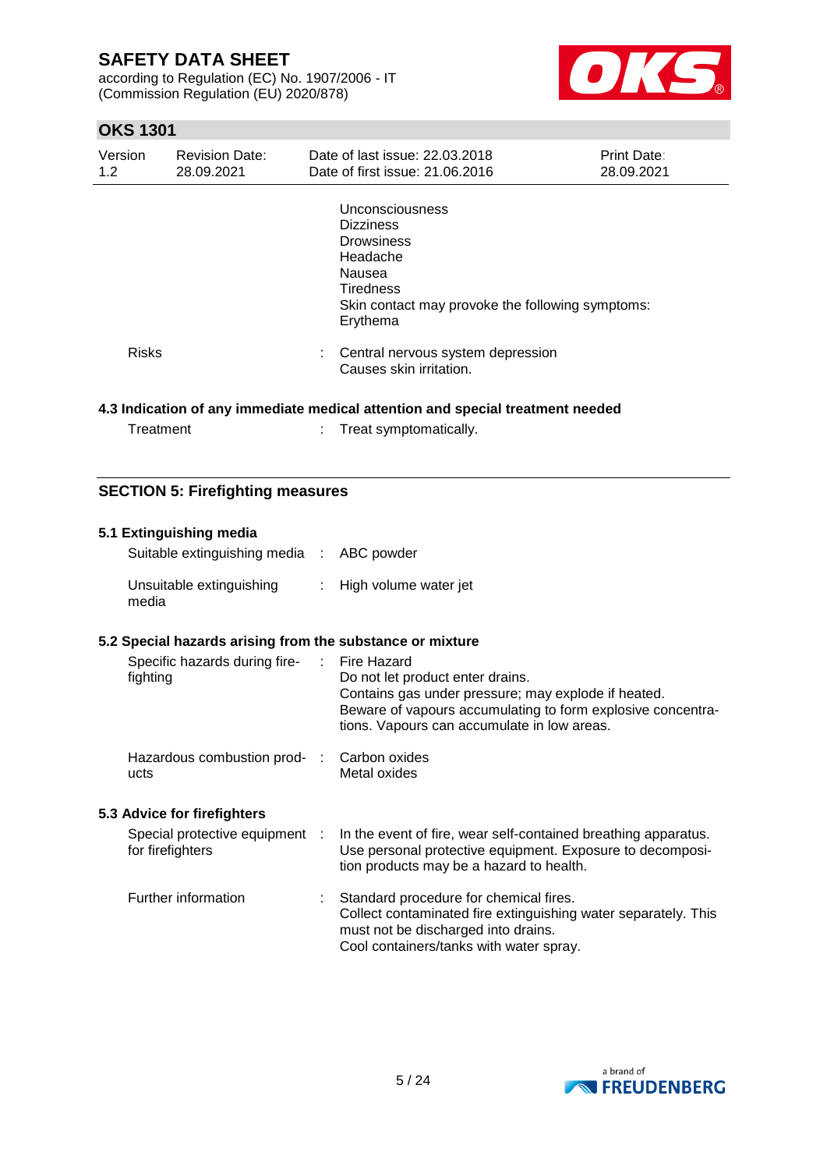according to Regulation (EC) No. 1907/2006 - IT (Commission Regulation (EU) 2020/878)



## **OKS 1301**

| Version<br>1.2 | <b>Revision Date:</b><br>28.09.2021 | Date of last issue: 22.03.2018<br>Date of first issue: 21.06.2016                                                                                                  | <b>Print Date:</b><br>28.09.2021 |
|----------------|-------------------------------------|--------------------------------------------------------------------------------------------------------------------------------------------------------------------|----------------------------------|
|                |                                     | Unconsciousness<br><b>Dizziness</b><br><b>Drowsiness</b><br>Headache<br>Nausea<br><b>Tiredness</b><br>Skin contact may provoke the following symptoms:<br>Erythema |                                  |
| <b>Risks</b>   |                                     | Central nervous system depression<br>Causes skin irritation.                                                                                                       |                                  |
|                |                                     | الرجاح والمستحدث والمتحدث الماجدين الرجيم ويتملك المتالي المجال ويستن والمالية والمستنبذ المستحدث والمستحال والراقي                                                |                                  |

### **4.3 Indication of any immediate medical attention and special treatment needed**

| Treatment | Treat symptomatically. |
|-----------|------------------------|
|-----------|------------------------|

## **SECTION 5: Firefighting measures**

| 5.1 Extinguishing media<br>Suitable extinguishing media : |               | ABC powder                                                                                                                                                                                                           |
|-----------------------------------------------------------|---------------|----------------------------------------------------------------------------------------------------------------------------------------------------------------------------------------------------------------------|
| Unsuitable extinguishing<br>media                         |               | : High volume water jet                                                                                                                                                                                              |
| 5.2 Special hazards arising from the substance or mixture |               |                                                                                                                                                                                                                      |
| Specific hazards during fire-<br>fighting                 | $\mathcal{L}$ | Fire Hazard<br>Do not let product enter drains.<br>Contains gas under pressure; may explode if heated.<br>Beware of vapours accumulating to form explosive concentra-<br>tions. Vapours can accumulate in low areas. |
| Hazardous combustion prod- :<br>ucts                      |               | Carbon oxides<br>Metal oxides                                                                                                                                                                                        |
| 5.3 Advice for firefighters                               |               |                                                                                                                                                                                                                      |
| Special protective equipment :<br>for firefighters        |               | In the event of fire, wear self-contained breathing apparatus.<br>Use personal protective equipment. Exposure to decomposi-<br>tion products may be a hazard to health.                                              |
| Further information                                       | ÷.            | Standard procedure for chemical fires.<br>Collect contaminated fire extinguishing water separately. This<br>must not be discharged into drains.<br>Cool containers/tanks with water spray.                           |

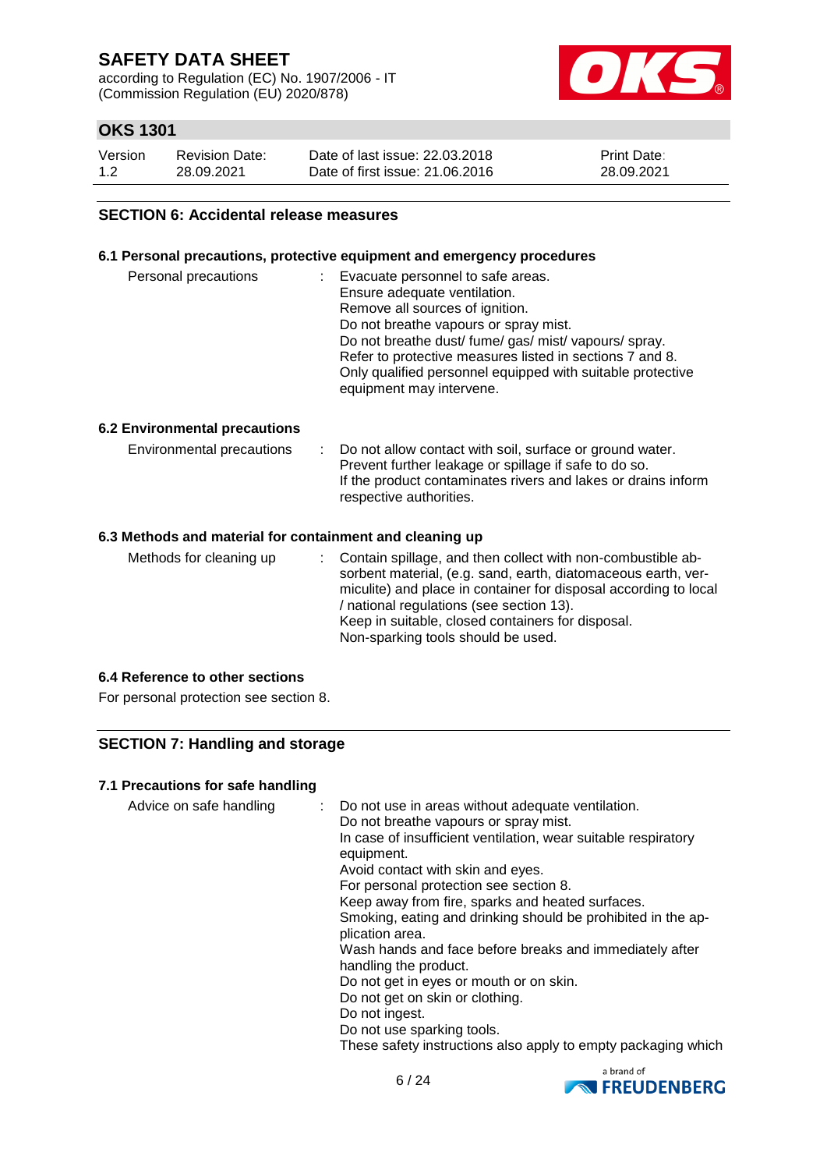according to Regulation (EC) No. 1907/2006 - IT (Commission Regulation (EU) 2020/878)



## **OKS 1301**

| Version | <b>Revision Date:</b> | Date of last issue: 22.03.2018  | <b>Print Date:</b> |
|---------|-----------------------|---------------------------------|--------------------|
| 1.2     | 28.09.2021            | Date of first issue: 21,06,2016 | 28.09.2021         |

### **SECTION 6: Accidental release measures**

### **6.1 Personal precautions, protective equipment and emergency procedures**

| Personal precautions | Evacuate personnel to safe areas.<br>÷<br>Ensure adequate ventilation.<br>Remove all sources of ignition.<br>Do not breathe vapours or spray mist.<br>Do not breathe dust/ fume/ gas/ mist/ vapours/ spray.<br>Refer to protective measures listed in sections 7 and 8.<br>Only qualified personnel equipped with suitable protective |
|----------------------|---------------------------------------------------------------------------------------------------------------------------------------------------------------------------------------------------------------------------------------------------------------------------------------------------------------------------------------|
|                      | equipment may intervene.                                                                                                                                                                                                                                                                                                              |

### **6.2 Environmental precautions**

| Environmental precautions | : Do not allow contact with soil, surface or ground water.<br>Prevent further leakage or spillage if safe to do so.<br>If the product contaminates rivers and lakes or drains inform<br>respective authorities. |
|---------------------------|-----------------------------------------------------------------------------------------------------------------------------------------------------------------------------------------------------------------|
|                           |                                                                                                                                                                                                                 |

### **6.3 Methods and material for containment and cleaning up**

| Methods for cleaning up | : Contain spillage, and then collect with non-combustible ab-<br>sorbent material, (e.g. sand, earth, diatomaceous earth, ver-<br>miculite) and place in container for disposal according to local<br>/ national regulations (see section 13).<br>Keep in suitable, closed containers for disposal.<br>Non-sparking tools should be used. |
|-------------------------|-------------------------------------------------------------------------------------------------------------------------------------------------------------------------------------------------------------------------------------------------------------------------------------------------------------------------------------------|
|-------------------------|-------------------------------------------------------------------------------------------------------------------------------------------------------------------------------------------------------------------------------------------------------------------------------------------------------------------------------------------|

### **6.4 Reference to other sections**

For personal protection see section 8.

## **SECTION 7: Handling and storage**

### **7.1 Precautions for safe handling**

| Advice on safe handling | : Do not use in areas without adequate ventilation.<br>Do not breathe vapours or spray mist.<br>In case of insufficient ventilation, wear suitable respiratory<br>equipment.<br>Avoid contact with skin and eyes.<br>For personal protection see section 8.<br>Keep away from fire, sparks and heated surfaces.<br>Smoking, eating and drinking should be prohibited in the ap-<br>plication area.<br>Wash hands and face before breaks and immediately after<br>handling the product.<br>Do not get in eyes or mouth or on skin.<br>Do not get on skin or clothing.<br>Do not ingest.<br>Do not use sparking tools.<br>These safety instructions also apply to empty packaging which |
|-------------------------|---------------------------------------------------------------------------------------------------------------------------------------------------------------------------------------------------------------------------------------------------------------------------------------------------------------------------------------------------------------------------------------------------------------------------------------------------------------------------------------------------------------------------------------------------------------------------------------------------------------------------------------------------------------------------------------|
|-------------------------|---------------------------------------------------------------------------------------------------------------------------------------------------------------------------------------------------------------------------------------------------------------------------------------------------------------------------------------------------------------------------------------------------------------------------------------------------------------------------------------------------------------------------------------------------------------------------------------------------------------------------------------------------------------------------------------|

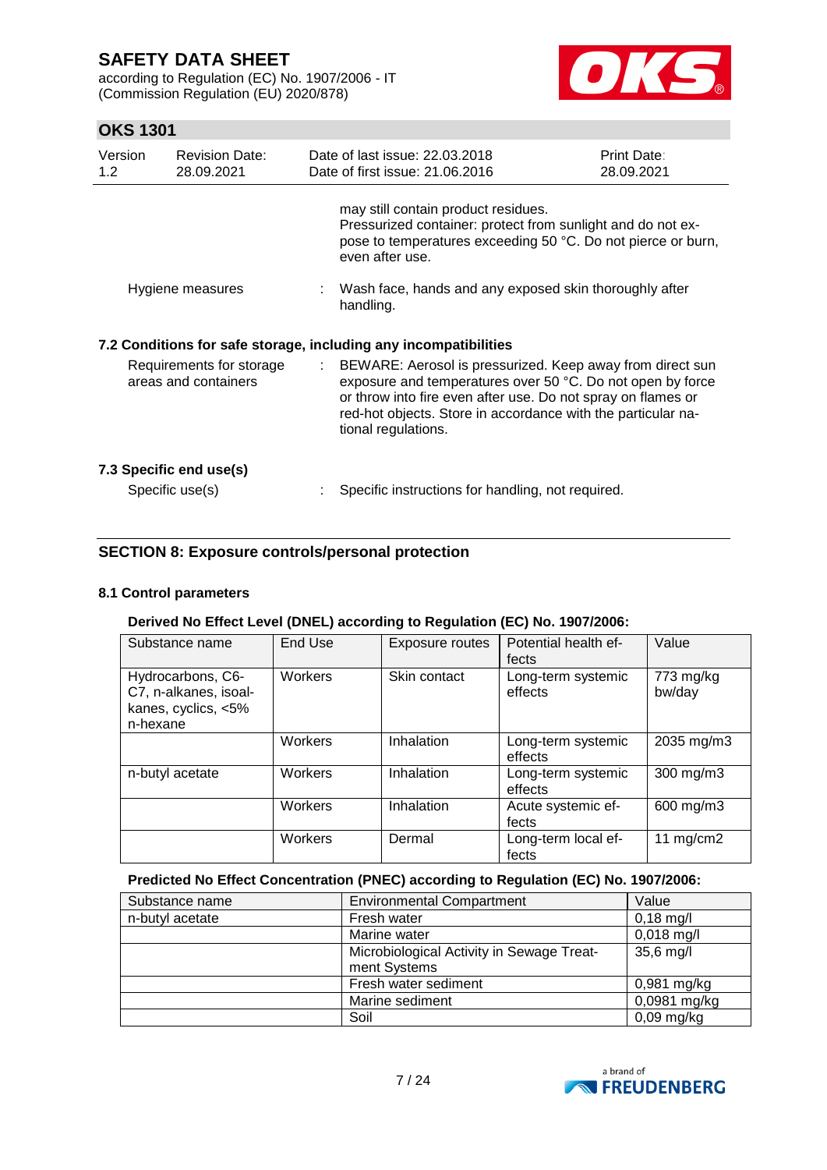according to Regulation (EC) No. 1907/2006 - IT (Commission Regulation (EU) 2020/878)



## **OKS 1301**

| Version<br>1.2                                                   | <b>Revision Date:</b><br>28.09.2021              |                           | Date of last issue: 22.03.2018<br>Date of first issue: 21.06.2016                                                                                                                                                                                                              | <b>Print Date:</b><br>28.09.2021 |
|------------------------------------------------------------------|--------------------------------------------------|---------------------------|--------------------------------------------------------------------------------------------------------------------------------------------------------------------------------------------------------------------------------------------------------------------------------|----------------------------------|
|                                                                  |                                                  |                           | may still contain product residues.<br>Pressurized container: protect from sunlight and do not ex-<br>pose to temperatures exceeding 50 °C. Do not pierce or burn,<br>even after use.                                                                                          |                                  |
|                                                                  | Hygiene measures                                 |                           | : Wash face, hands and any exposed skin thoroughly after<br>handling.                                                                                                                                                                                                          |                                  |
| 7.2 Conditions for safe storage, including any incompatibilities |                                                  |                           |                                                                                                                                                                                                                                                                                |                                  |
|                                                                  | Requirements for storage<br>areas and containers | $\mathbb{Z}^{\mathbb{Z}}$ | BEWARE: Aerosol is pressurized. Keep away from direct sun<br>exposure and temperatures over 50 °C. Do not open by force<br>or throw into fire even after use. Do not spray on flames or<br>red-hot objects. Store in accordance with the particular na-<br>tional regulations. |                                  |
|                                                                  | 7.3 Specific end use(s)<br>Specific use(s)       |                           | Specific instructions for handling, not required.                                                                                                                                                                                                                              |                                  |

## **SECTION 8: Exposure controls/personal protection**

### **8.1 Control parameters**

### **Derived No Effect Level (DNEL) according to Regulation (EC) No. 1907/2006:**

| Substance name                                                                | End Use | Exposure routes | Potential health ef-<br>fects | Value               |
|-------------------------------------------------------------------------------|---------|-----------------|-------------------------------|---------------------|
| Hydrocarbons, C6-<br>C7, n-alkanes, isoal-<br>kanes, cyclics, <5%<br>n-hexane | Workers | Skin contact    | Long-term systemic<br>effects | 773 mg/kg<br>bw/day |
|                                                                               | Workers | Inhalation      | Long-term systemic<br>effects | 2035 mg/m3          |
| n-butyl acetate                                                               | Workers | Inhalation      | Long-term systemic<br>effects | 300 mg/m3           |
|                                                                               | Workers | Inhalation      | Acute systemic ef-<br>fects   | 600 mg/m3           |
|                                                                               | Workers | Dermal          | Long-term local ef-<br>fects  | 11 $mg/cm2$         |

## **Predicted No Effect Concentration (PNEC) according to Regulation (EC) No. 1907/2006:**

| Substance name  | <b>Environmental Compartment</b>          | Value         |
|-----------------|-------------------------------------------|---------------|
| n-butyl acetate | Fresh water                               | $0,18$ mg/l   |
|                 | Marine water                              | $0,018$ mg/l  |
|                 | Microbiological Activity in Sewage Treat- | $35,6$ mg/l   |
|                 | ment Systems                              |               |
|                 | Fresh water sediment                      | $0,981$ mg/kg |
|                 | Marine sediment                           | 0,0981 mg/kg  |
|                 | Soil                                      | $0,09$ mg/kg  |

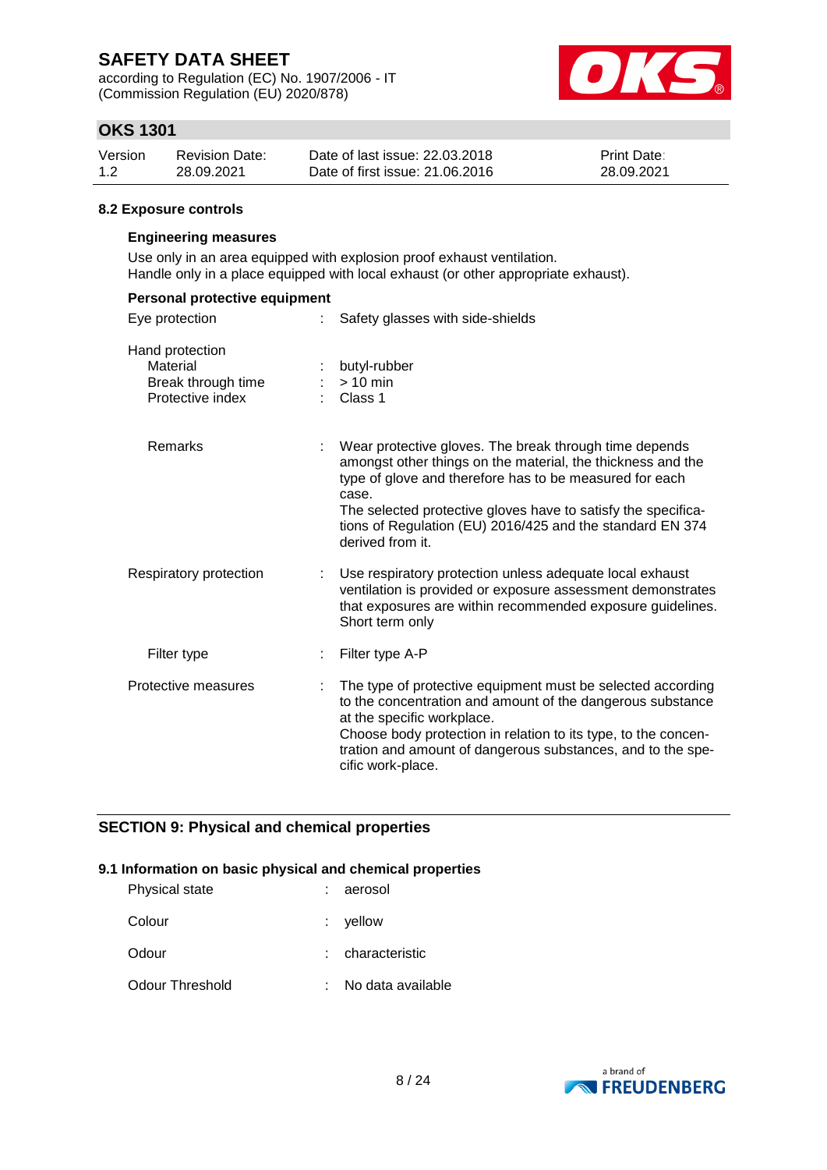according to Regulation (EC) No. 1907/2006 - IT (Commission Regulation (EU) 2020/878)



## **OKS 1301**

| Version | <b>Revision Date:</b> | Date of last issue: 22.03.2018  | <b>Print Date:</b> |
|---------|-----------------------|---------------------------------|--------------------|
| 1.2     | 28.09.2021            | Date of first issue: 21,06,2016 | 28.09.2021         |

### **8.2 Exposure controls**

### **Engineering measures**

Use only in an area equipped with explosion proof exhaust ventilation. Handle only in a place equipped with local exhaust (or other appropriate exhaust).

| Personal protective equipment                                         |    |                                                                                                                                                                                                                                                                                                                                             |  |
|-----------------------------------------------------------------------|----|---------------------------------------------------------------------------------------------------------------------------------------------------------------------------------------------------------------------------------------------------------------------------------------------------------------------------------------------|--|
| Eye protection                                                        |    | Safety glasses with side-shields                                                                                                                                                                                                                                                                                                            |  |
| Hand protection<br>Material<br>Break through time<br>Protective index |    | butyl-rubber<br>$> 10$ min<br>Class 1                                                                                                                                                                                                                                                                                                       |  |
| Remarks                                                               |    | Wear protective gloves. The break through time depends<br>amongst other things on the material, the thickness and the<br>type of glove and therefore has to be measured for each<br>case.<br>The selected protective gloves have to satisfy the specifica-<br>tions of Regulation (EU) 2016/425 and the standard EN 374<br>derived from it. |  |
| Respiratory protection                                                |    | Use respiratory protection unless adequate local exhaust<br>ventilation is provided or exposure assessment demonstrates<br>that exposures are within recommended exposure guidelines.<br>Short term only                                                                                                                                    |  |
| Filter type                                                           |    | Filter type A-P                                                                                                                                                                                                                                                                                                                             |  |
| Protective measures                                                   | ÷. | The type of protective equipment must be selected according<br>to the concentration and amount of the dangerous substance<br>at the specific workplace.<br>Choose body protection in relation to its type, to the concen-<br>tration and amount of dangerous substances, and to the spe-<br>cific work-place.                               |  |

### **SECTION 9: Physical and chemical properties**

### **9.1 Information on basic physical and chemical properties**

| Physical state  | aerosol           |
|-----------------|-------------------|
| Colour          | $:$ vellow        |
| Odour           | : characteristic  |
| Odour Threshold | No data available |

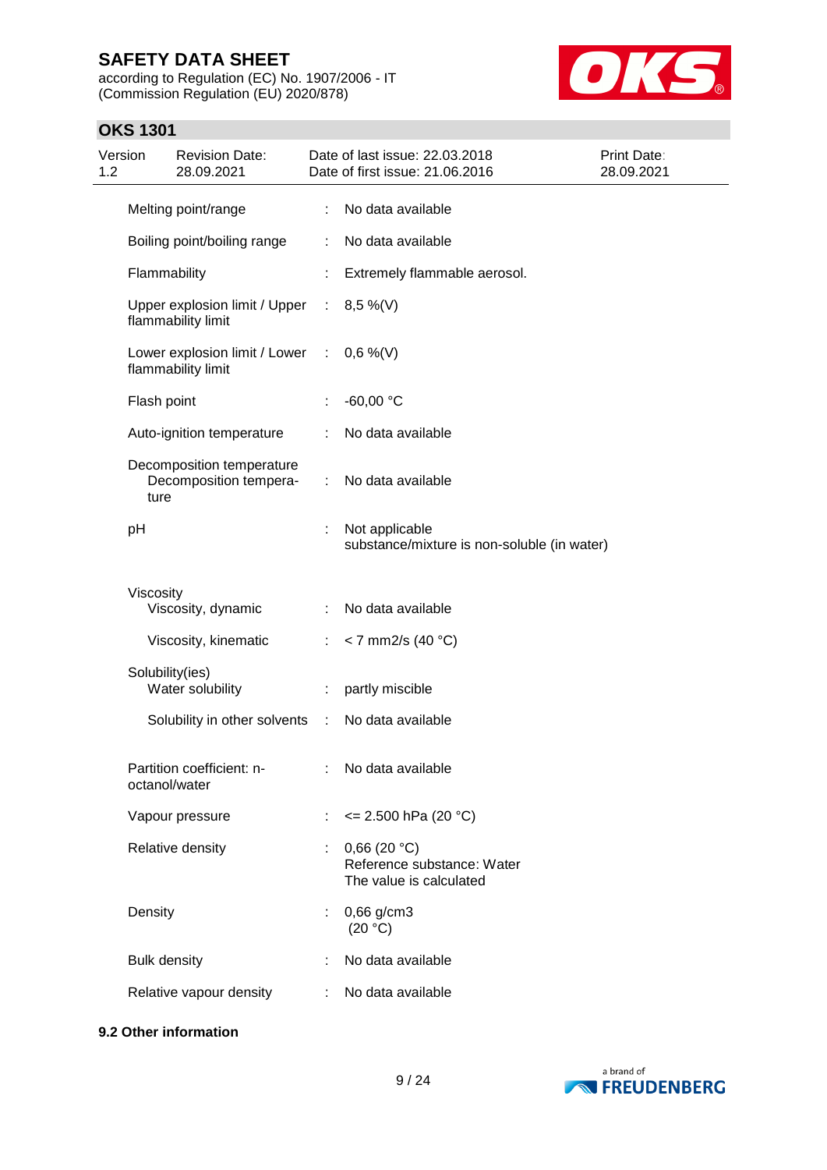according to Regulation (EC) No. 1907/2006 - IT (Commission Regulation (EU) 2020/878)



## **OKS 1301**

| Version<br>1.2 |                     | <b>Revision Date:</b><br>28.09.2021                               |                | Date of last issue: 22.03.2018<br>Date of first issue: 21.06.2016    | <b>Print Date:</b><br>28.09.2021 |
|----------------|---------------------|-------------------------------------------------------------------|----------------|----------------------------------------------------------------------|----------------------------------|
|                |                     | Melting point/range                                               |                | : No data available                                                  |                                  |
|                |                     | Boiling point/boiling range                                       | ÷              | No data available                                                    |                                  |
|                | Flammability        |                                                                   |                | Extremely flammable aerosol.                                         |                                  |
|                |                     | Upper explosion limit / Upper : $8,5\%$ (V)<br>flammability limit |                |                                                                      |                                  |
|                |                     | Lower explosion limit / Lower : $0,6\%$ (V)<br>flammability limit |                |                                                                      |                                  |
|                | Flash point         |                                                                   |                | $-60,00 °C$                                                          |                                  |
|                |                     | Auto-ignition temperature                                         | ÷              | No data available                                                    |                                  |
|                | ture                | Decomposition temperature<br>Decomposition tempera-               |                | : No data available                                                  |                                  |
|                | pH                  |                                                                   |                | Not applicable<br>substance/mixture is non-soluble (in water)        |                                  |
|                | Viscosity           |                                                                   |                |                                                                      |                                  |
|                |                     | Viscosity, dynamic                                                |                | No data available                                                    |                                  |
|                |                     | Viscosity, kinematic                                              | $\mathbb{R}^n$ | $<$ 7 mm2/s (40 °C)                                                  |                                  |
|                | Solubility(ies)     | Water solubility                                                  | ÷.             | partly miscible                                                      |                                  |
|                |                     | Solubility in other solvents :                                    |                | No data available                                                    |                                  |
|                | octanol/water       | Partition coefficient: n-                                         |                | : No data available                                                  |                                  |
|                |                     | Vapour pressure                                                   |                | $\leq$ 2.500 hPa (20 °C)                                             |                                  |
|                |                     | Relative density                                                  |                | 0,66(20 °C)<br>Reference substance: Water<br>The value is calculated |                                  |
|                | Density             |                                                                   |                | $0,66$ g/cm3<br>(20 °C)                                              |                                  |
|                | <b>Bulk density</b> |                                                                   |                | No data available                                                    |                                  |
|                |                     | Relative vapour density                                           | ÷.             | No data available                                                    |                                  |

## **9.2 Other information**

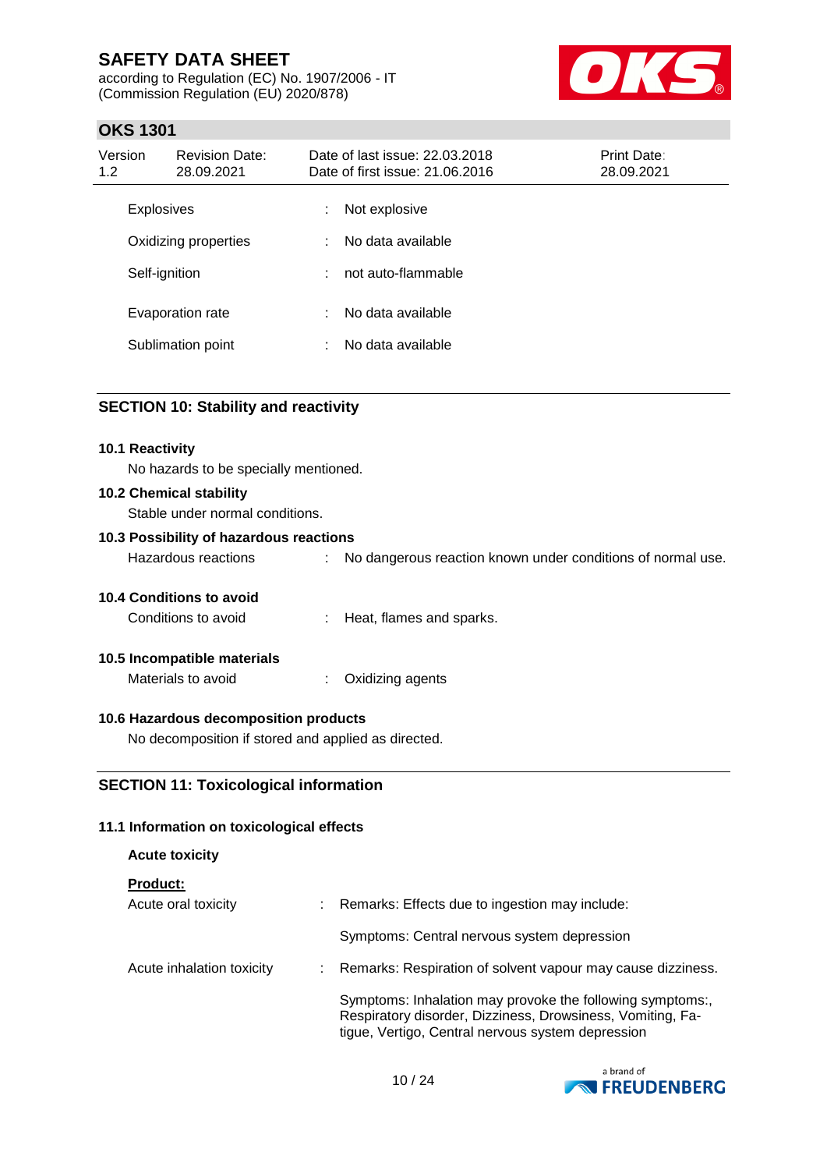according to Regulation (EC) No. 1907/2006 - IT (Commission Regulation (EU) 2020/878)



## **OKS 1301**

| Version<br>1.2 | <b>Revision Date:</b><br>28.09.2021 |    | Date of last issue: 22.03.2018<br>Date of first issue: 21.06.2016 | <b>Print Date:</b><br>28.09.2021 |
|----------------|-------------------------------------|----|-------------------------------------------------------------------|----------------------------------|
|                | <b>Explosives</b>                   | ÷. | Not explosive                                                     |                                  |
|                | Oxidizing properties                | ÷  | No data available                                                 |                                  |
|                | Self-ignition                       | ÷  | not auto-flammable                                                |                                  |
|                | Evaporation rate                    | ÷  | No data available                                                 |                                  |
|                | Sublimation point                   |    | No data available                                                 |                                  |

## **SECTION 10: Stability and reactivity**

# **10.1 Reactivity** No hazards to be specially mentioned. **10.2 Chemical stability** Stable under normal conditions. **10.3 Possibility of hazardous reactions** Hazardous reactions : No dangerous reaction known under conditions of normal use. **10.4 Conditions to avoid** Conditions to avoid : Heat, flames and sparks. **10.5 Incompatible materials** Materials to avoid : Oxidizing agents

### **10.6 Hazardous decomposition products**

No decomposition if stored and applied as directed.

### **SECTION 11: Toxicological information**

### **11.1 Information on toxicological effects**

### **Acute toxicity**

**Product:**

| Acute oral toxicity       | t. | Remarks: Effects due to ingestion may include:                                                                                                                               |
|---------------------------|----|------------------------------------------------------------------------------------------------------------------------------------------------------------------------------|
|                           |    | Symptoms: Central nervous system depression                                                                                                                                  |
| Acute inhalation toxicity | ÷. | Remarks: Respiration of solvent vapour may cause dizziness.                                                                                                                  |
|                           |    | Symptoms: Inhalation may provoke the following symptoms:,<br>Respiratory disorder, Dizziness, Drowsiness, Vomiting, Fa-<br>tigue, Vertigo, Central nervous system depression |

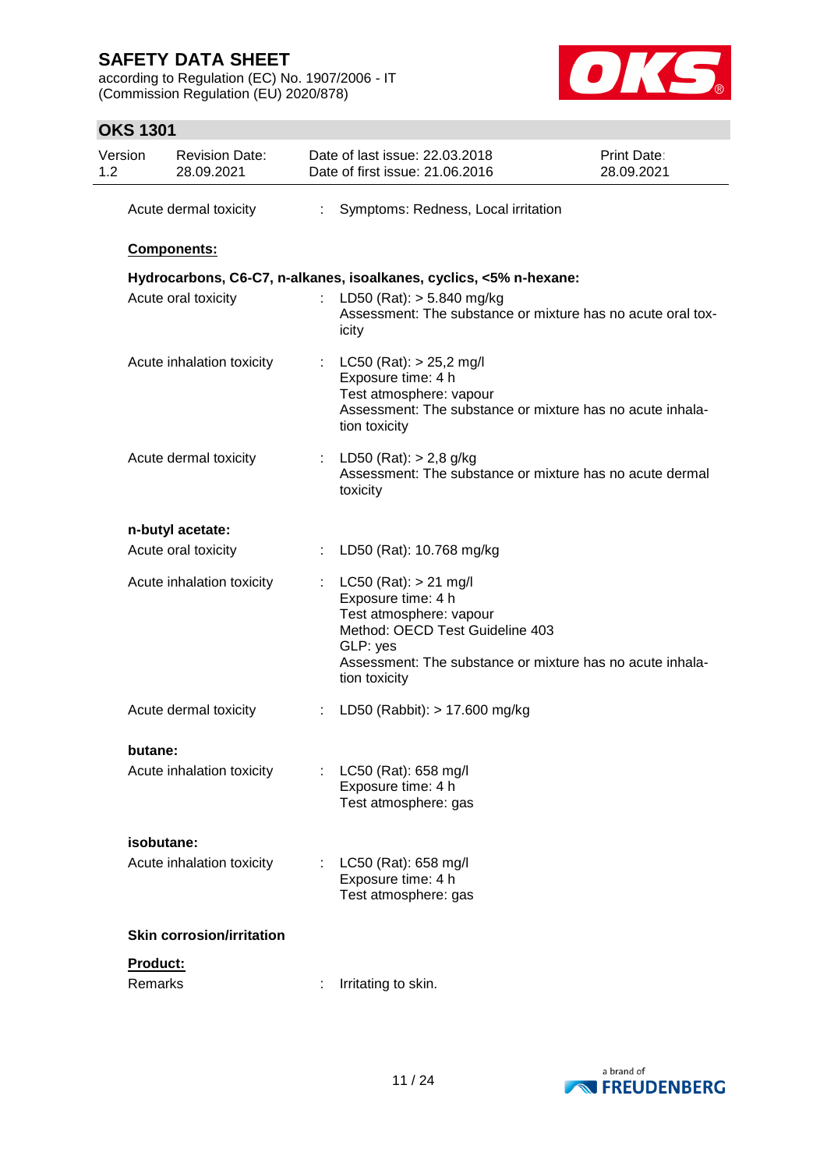according to Regulation (EC) No. 1907/2006 - IT (Commission Regulation (EU) 2020/878)



## **OKS 1301**

| Version<br>1.2 | <b>Revision Date:</b><br>28.09.2021 |                       | Date of last issue: 22.03.2018<br>Date of first issue: 21.06.2016                                                                                                                                       | <b>Print Date:</b><br>28.09.2021 |
|----------------|-------------------------------------|-----------------------|---------------------------------------------------------------------------------------------------------------------------------------------------------------------------------------------------------|----------------------------------|
|                | Acute dermal toxicity               | $\mathbb{Z}^{\times}$ | Symptoms: Redness, Local irritation                                                                                                                                                                     |                                  |
|                | Components:                         |                       |                                                                                                                                                                                                         |                                  |
|                |                                     |                       | Hydrocarbons, C6-C7, n-alkanes, isoalkanes, cyclics, <5% n-hexane:                                                                                                                                      |                                  |
|                | Acute oral toxicity                 |                       | LD50 (Rat): $> 5.840$ mg/kg<br>Assessment: The substance or mixture has no acute oral tox-<br>icity                                                                                                     |                                  |
|                | Acute inhalation toxicity           |                       | : $LC50 (Rat): > 25,2$ mg/l<br>Exposure time: 4 h<br>Test atmosphere: vapour<br>Assessment: The substance or mixture has no acute inhala-<br>tion toxicity                                              |                                  |
|                | Acute dermal toxicity               |                       | : LD50 (Rat): $> 2.8$ g/kg<br>Assessment: The substance or mixture has no acute dermal<br>toxicity                                                                                                      |                                  |
|                | n-butyl acetate:                    |                       |                                                                                                                                                                                                         |                                  |
|                | Acute oral toxicity                 |                       | : LD50 (Rat): 10.768 mg/kg                                                                                                                                                                              |                                  |
|                | Acute inhalation toxicity           |                       | $LC50$ (Rat): $> 21$ mg/l<br>Exposure time: 4 h<br>Test atmosphere: vapour<br>Method: OECD Test Guideline 403<br>GLP: yes<br>Assessment: The substance or mixture has no acute inhala-<br>tion toxicity |                                  |
|                | Acute dermal toxicity               |                       | : LD50 (Rabbit): $> 17.600$ mg/kg                                                                                                                                                                       |                                  |
| butane:        |                                     |                       |                                                                                                                                                                                                         |                                  |
|                | Acute inhalation toxicity           |                       | LC50 (Rat): 658 mg/l<br>Exposure time: 4 h<br>Test atmosphere: gas                                                                                                                                      |                                  |
|                | isobutane:                          |                       |                                                                                                                                                                                                         |                                  |
|                | Acute inhalation toxicity           |                       | LC50 (Rat): 658 mg/l<br>Exposure time: 4 h<br>Test atmosphere: gas                                                                                                                                      |                                  |
|                | <b>Skin corrosion/irritation</b>    |                       |                                                                                                                                                                                                         |                                  |
| Product:       |                                     |                       |                                                                                                                                                                                                         |                                  |
| Remarks        |                                     |                       | Irritating to skin.                                                                                                                                                                                     |                                  |

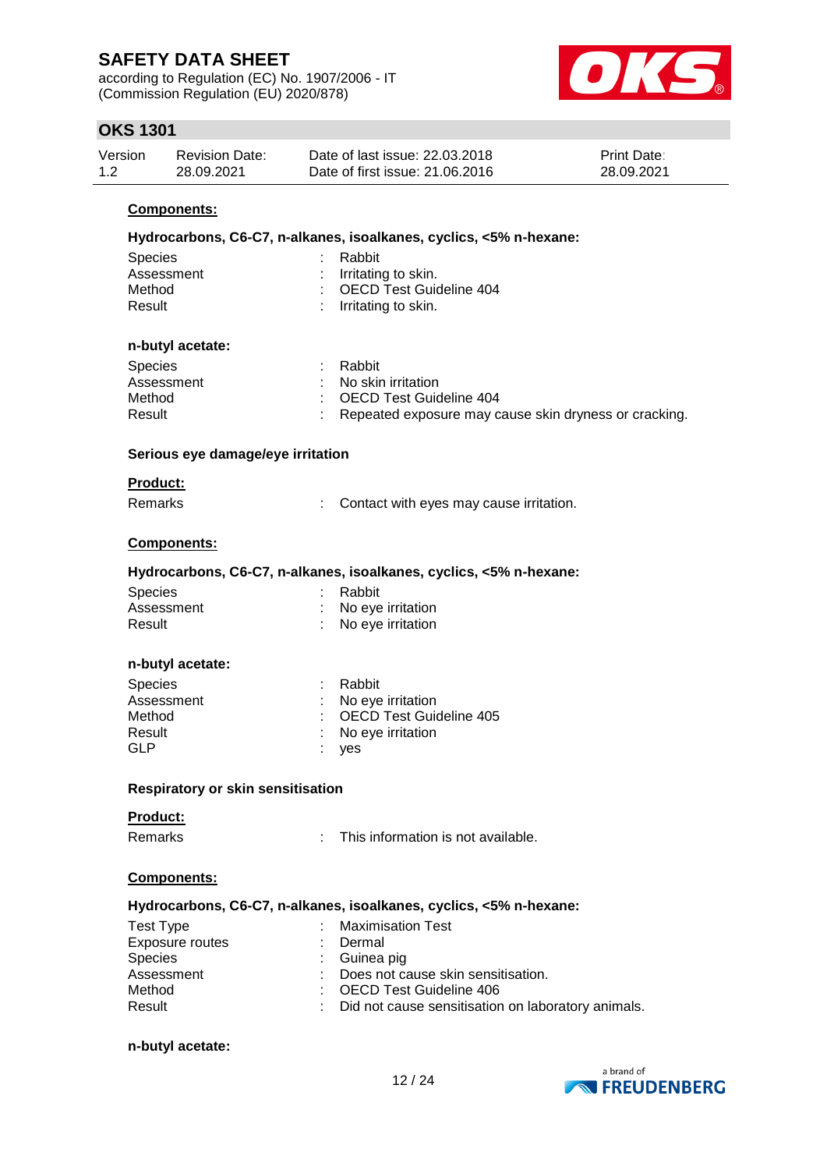according to Regulation (EC) No. 1907/2006 - IT (Commission Regulation (EU) 2020/878)



## **OKS 1301**

| Version | Revision Date: | Date of last issue: 22,03,2018  | <b>Print Date:</b> |
|---------|----------------|---------------------------------|--------------------|
| 1.2     | 28.09.2021     | Date of first issue: 21,06,2016 | 28.09.2021         |

### **Components:**

| Hydrocarbons, C6-C7, n-alkanes, isoalkanes, cyclics, <5% n-hexane: |                                                                    |  |  |  |  |  |
|--------------------------------------------------------------------|--------------------------------------------------------------------|--|--|--|--|--|
| <b>Species</b>                                                     | Rabbit                                                             |  |  |  |  |  |
| Assessment                                                         | Irritating to skin.                                                |  |  |  |  |  |
| Method                                                             | <b>OECD Test Guideline 404</b>                                     |  |  |  |  |  |
| Result                                                             | Irritating to skin.                                                |  |  |  |  |  |
|                                                                    |                                                                    |  |  |  |  |  |
| n-butyl acetate:                                                   |                                                                    |  |  |  |  |  |
| <b>Species</b>                                                     | Rabbit                                                             |  |  |  |  |  |
| Assessment                                                         | No skin irritation                                                 |  |  |  |  |  |
| Method                                                             | <b>OECD Test Guideline 404</b>                                     |  |  |  |  |  |
| Result                                                             | Repeated exposure may cause skin dryness or cracking.              |  |  |  |  |  |
|                                                                    |                                                                    |  |  |  |  |  |
| Serious eye damage/eye irritation                                  |                                                                    |  |  |  |  |  |
| <b>Product:</b>                                                    |                                                                    |  |  |  |  |  |
| Remarks                                                            | Contact with eyes may cause irritation.                            |  |  |  |  |  |
|                                                                    |                                                                    |  |  |  |  |  |
| Components:                                                        |                                                                    |  |  |  |  |  |
|                                                                    | Hydrocarbons, C6-C7, n-alkanes, isoalkanes, cyclics, <5% n-hexane: |  |  |  |  |  |
| Species                                                            | Rabbit                                                             |  |  |  |  |  |
| Assessment                                                         | No eye irritation                                                  |  |  |  |  |  |
| Result                                                             | No eye irritation                                                  |  |  |  |  |  |
|                                                                    |                                                                    |  |  |  |  |  |
| n-butyl acetate:                                                   |                                                                    |  |  |  |  |  |
| <b>Species</b>                                                     | Rabbit                                                             |  |  |  |  |  |
| Assessment                                                         | No eye irritation                                                  |  |  |  |  |  |
| Method                                                             | <b>OECD Test Guideline 405</b>                                     |  |  |  |  |  |
| Result                                                             | No eye irritation                                                  |  |  |  |  |  |
| <b>GLP</b>                                                         | yes                                                                |  |  |  |  |  |
|                                                                    |                                                                    |  |  |  |  |  |
| Respiratory or skin sensitisation                                  |                                                                    |  |  |  |  |  |
| <b>Product:</b>                                                    |                                                                    |  |  |  |  |  |
| Remarks                                                            | This information is not available.                                 |  |  |  |  |  |
| Components:                                                        |                                                                    |  |  |  |  |  |
|                                                                    | Hydrocarbons, C6-C7, n-alkanes, isoalkanes, cyclics, <5% n-hexane: |  |  |  |  |  |
| <b>Test Type</b>                                                   | <b>Maximisation Test</b>                                           |  |  |  |  |  |
| <b>Exposure routes</b>                                             | Dermal                                                             |  |  |  |  |  |
| <b>Species</b>                                                     | Guinea pig                                                         |  |  |  |  |  |
| Assessment                                                         | Does not cause skin sensitisation.                                 |  |  |  |  |  |
| Method                                                             | <b>OECD Test Guideline 406</b>                                     |  |  |  |  |  |
| Result                                                             | Did not cause sensitisation on laboratory animals.                 |  |  |  |  |  |
|                                                                    |                                                                    |  |  |  |  |  |
| n-butyl acetate:                                                   |                                                                    |  |  |  |  |  |

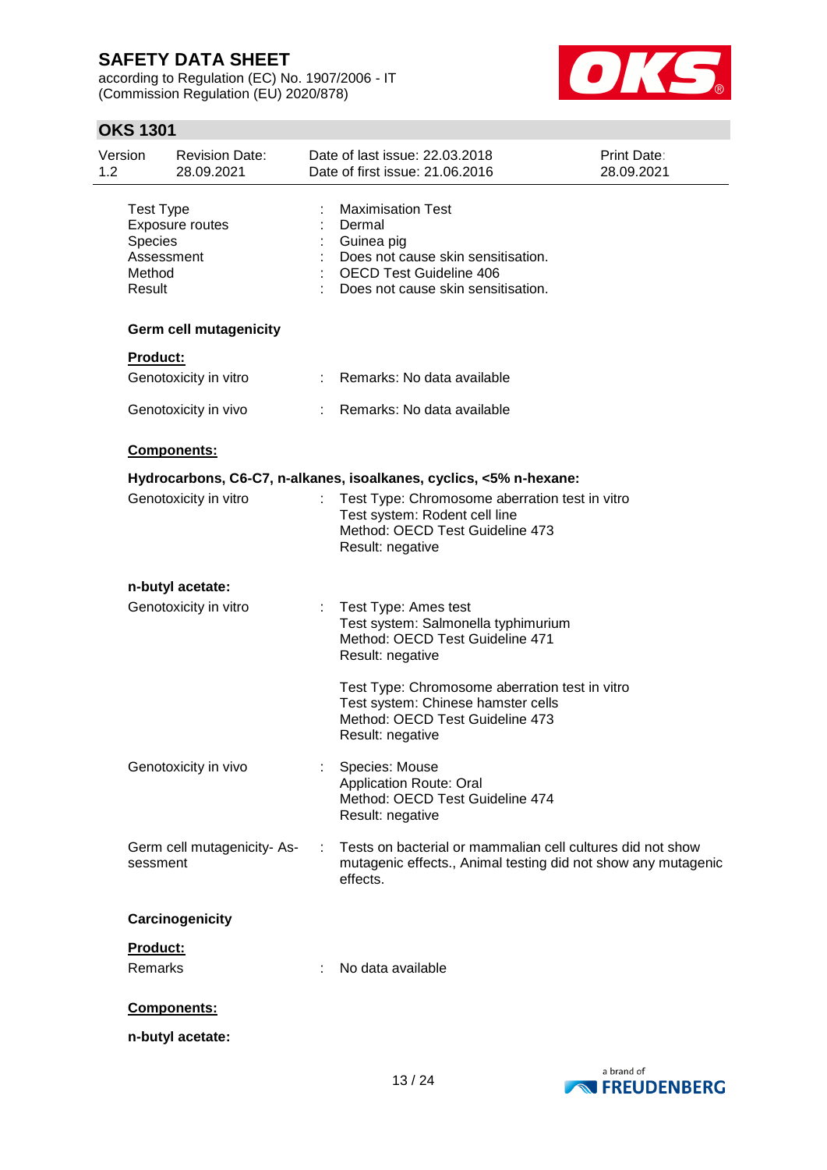according to Regulation (EC) No. 1907/2006 - IT (Commission Regulation (EU) 2020/878)



## **OKS 1301**

| Version<br>1.2              | <b>Revision Date:</b><br>28.09.2021               |   | Date of last issue: 22.03.2018<br>Date of first issue: 21.06.2016                                                                                              | Print Date:<br>28.09.2021 |
|-----------------------------|---------------------------------------------------|---|----------------------------------------------------------------------------------------------------------------------------------------------------------------|---------------------------|
| Species<br>Method<br>Result | <b>Test Type</b><br>Exposure routes<br>Assessment |   | <b>Maximisation Test</b><br>Dermal<br>Guinea pig<br>Does not cause skin sensitisation.<br><b>OECD Test Guideline 406</b><br>Does not cause skin sensitisation. |                           |
|                             | <b>Germ cell mutagenicity</b>                     |   |                                                                                                                                                                |                           |
| <b>Product:</b>             |                                                   |   |                                                                                                                                                                |                           |
|                             | Genotoxicity in vitro                             |   | Remarks: No data available                                                                                                                                     |                           |
|                             | Genotoxicity in vivo                              |   | Remarks: No data available                                                                                                                                     |                           |
|                             | Components:                                       |   |                                                                                                                                                                |                           |
|                             |                                                   |   | Hydrocarbons, C6-C7, n-alkanes, isoalkanes, cyclics, <5% n-hexane:                                                                                             |                           |
|                             | Genotoxicity in vitro                             |   | Test Type: Chromosome aberration test in vitro<br>Test system: Rodent cell line<br>Method: OECD Test Guideline 473<br>Result: negative                         |                           |
|                             | n-butyl acetate:                                  |   |                                                                                                                                                                |                           |
|                             | Genotoxicity in vitro                             | ÷ | Test Type: Ames test<br>Test system: Salmonella typhimurium<br>Method: OECD Test Guideline 471<br>Result: negative                                             |                           |
|                             |                                                   |   | Test Type: Chromosome aberration test in vitro<br>Test system: Chinese hamster cells<br>Method: OECD Test Guideline 473<br>Result: negative                    |                           |
|                             | Genotoxicity in vivo                              |   | Species: Mouse<br><b>Application Route: Oral</b><br>Method: OECD Test Guideline 474<br>Result: negative                                                        |                           |
|                             | Germ cell mutagenicity-As-<br>sessment            |   | Tests on bacterial or mammalian cell cultures did not show<br>mutagenic effects., Animal testing did not show any mutagenic<br>effects.                        |                           |
|                             | Carcinogenicity                                   |   |                                                                                                                                                                |                           |
| Product:                    |                                                   |   |                                                                                                                                                                |                           |
| Remarks                     |                                                   |   | No data available                                                                                                                                              |                           |
|                             | Components:                                       |   |                                                                                                                                                                |                           |
|                             | n-butyl acetate:                                  |   |                                                                                                                                                                |                           |

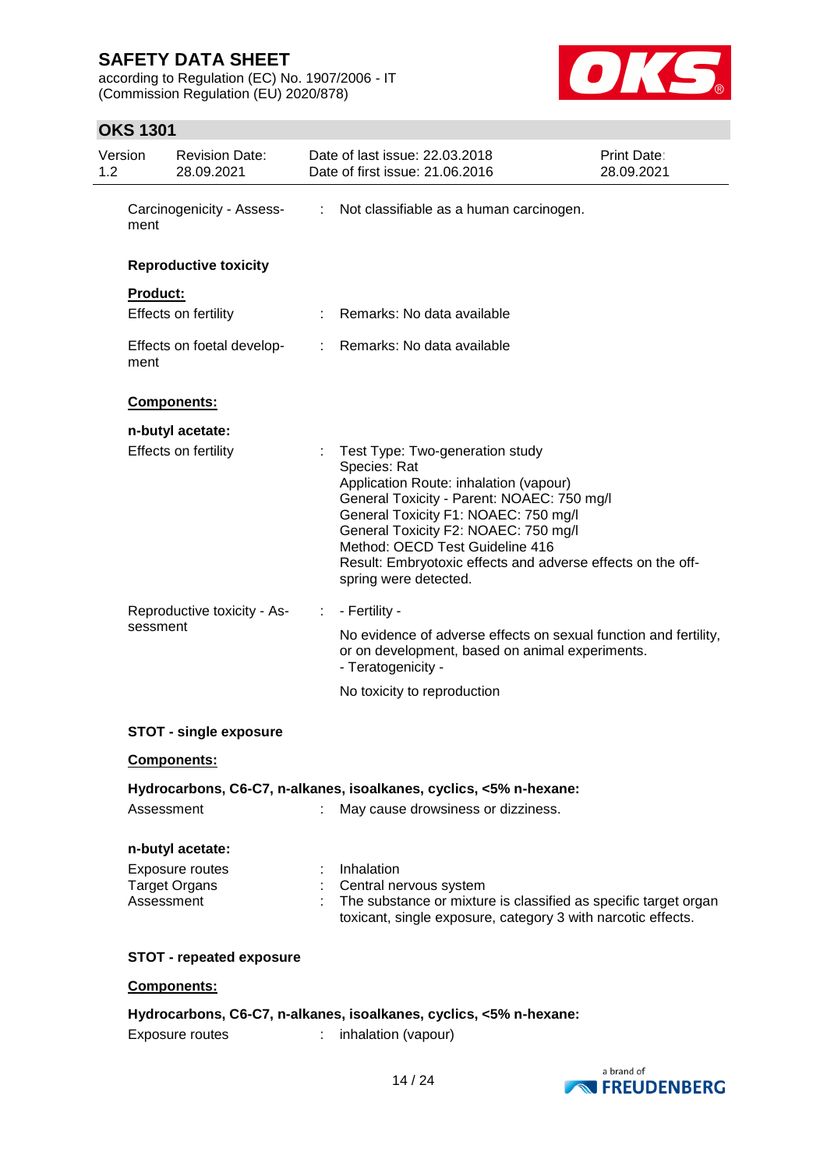according to Regulation (EC) No. 1907/2006 - IT (Commission Regulation (EU) 2020/878)



## **OKS 1301**

| Version<br><b>Revision Date:</b><br>28.09.2021 | Date of last issue: 22.03.2018<br>Date of first issue: 21.06.2016                                                                                                                                                                                                                                                                                       | Print Date:<br>28.09.2021 |
|------------------------------------------------|---------------------------------------------------------------------------------------------------------------------------------------------------------------------------------------------------------------------------------------------------------------------------------------------------------------------------------------------------------|---------------------------|
| Carcinogenicity - Assess-<br>ment              | : Not classifiable as a human carcinogen.                                                                                                                                                                                                                                                                                                               |                           |
| <b>Reproductive toxicity</b>                   |                                                                                                                                                                                                                                                                                                                                                         |                           |
| <b>Product:</b>                                |                                                                                                                                                                                                                                                                                                                                                         |                           |
| Effects on fertility                           | : Remarks: No data available                                                                                                                                                                                                                                                                                                                            |                           |
| Effects on foetal develop-<br>ment             | : Remarks: No data available                                                                                                                                                                                                                                                                                                                            |                           |
| Components:                                    |                                                                                                                                                                                                                                                                                                                                                         |                           |
| n-butyl acetate:                               |                                                                                                                                                                                                                                                                                                                                                         |                           |
| Effects on fertility                           | ÷<br>Test Type: Two-generation study<br>Species: Rat<br>Application Route: inhalation (vapour)<br>General Toxicity - Parent: NOAEC: 750 mg/l<br>General Toxicity F1: NOAEC: 750 mg/l<br>General Toxicity F2: NOAEC: 750 mg/l<br>Method: OECD Test Guideline 416<br>Result: Embryotoxic effects and adverse effects on the off-<br>spring were detected. |                           |
| Reproductive toxicity - As-                    | - Fertility -<br>÷                                                                                                                                                                                                                                                                                                                                      |                           |
| sessment                                       | No evidence of adverse effects on sexual function and fertility,<br>or on development, based on animal experiments.<br>- Teratogenicity -                                                                                                                                                                                                               |                           |
|                                                | No toxicity to reproduction                                                                                                                                                                                                                                                                                                                             |                           |
| <b>STOT - single exposure</b>                  |                                                                                                                                                                                                                                                                                                                                                         |                           |
| Components:                                    |                                                                                                                                                                                                                                                                                                                                                         |                           |
|                                                | Hydrocarbons, C6-C7, n-alkanes, isoalkanes, cyclics, <5% n-hexane:                                                                                                                                                                                                                                                                                      |                           |
| Assessment                                     | May cause drowsiness or dizziness.                                                                                                                                                                                                                                                                                                                      |                           |
| n-butyl acetate:                               |                                                                                                                                                                                                                                                                                                                                                         |                           |
| Exposure routes                                | Inhalation                                                                                                                                                                                                                                                                                                                                              |                           |
| <b>Target Organs</b><br>Assessment             | Central nervous system<br>The substance or mixture is classified as specific target organ<br>toxicant, single exposure, category 3 with narcotic effects.                                                                                                                                                                                               |                           |
| <b>STOT - repeated exposure</b>                |                                                                                                                                                                                                                                                                                                                                                         |                           |
| Components:                                    |                                                                                                                                                                                                                                                                                                                                                         |                           |
|                                                | Hydrocarbons, C6-C7, n-alkanes, isoalkanes, cyclics, <5% n-hexane:                                                                                                                                                                                                                                                                                      |                           |

Exposure routes : inhalation (vapour)

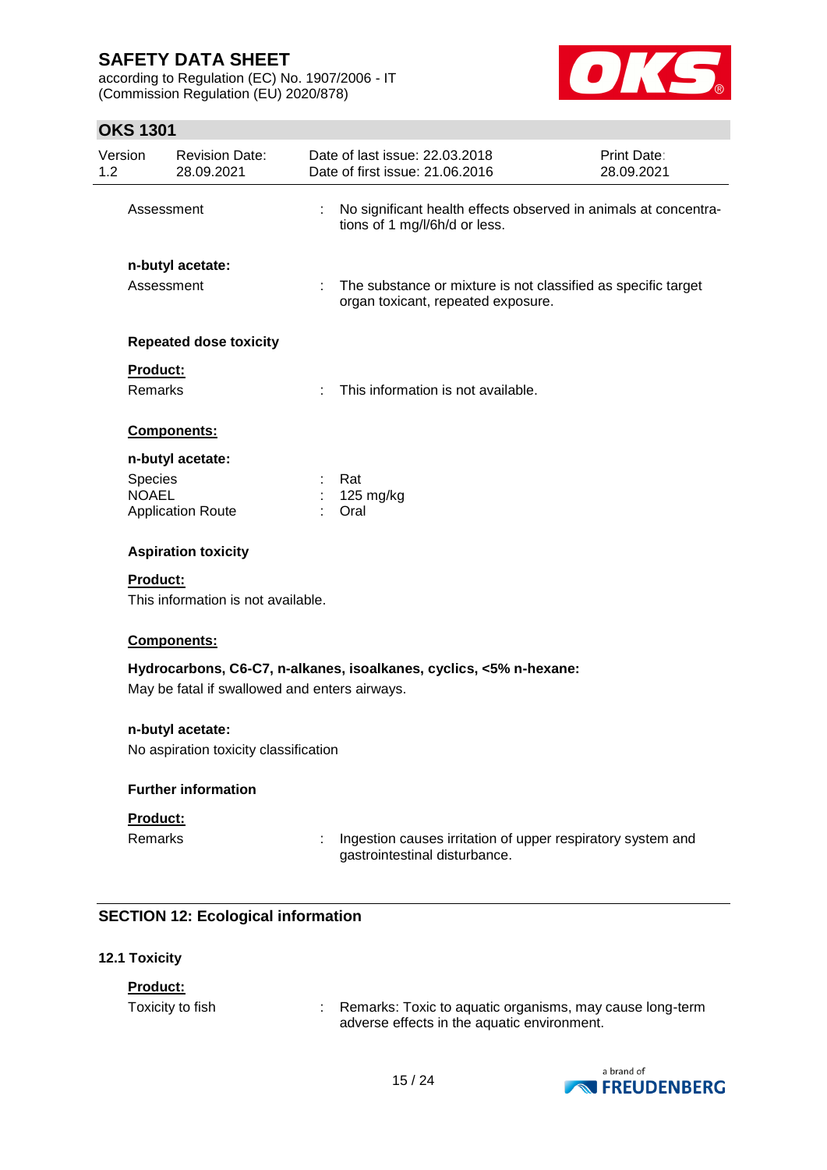according to Regulation (EC) No. 1907/2006 - IT (Commission Regulation (EU) 2020/878)



# **OKS 1301**

|                                                           | ו טטו שווט              |                                     |   |                                                                                                     |                           |
|-----------------------------------------------------------|-------------------------|-------------------------------------|---|-----------------------------------------------------------------------------------------------------|---------------------------|
| Version<br>1.2                                            |                         | <b>Revision Date:</b><br>28.09.2021 |   | Date of last issue: 22.03.2018<br>Date of first issue: 21.06.2016                                   | Print Date:<br>28.09.2021 |
|                                                           | Assessment              |                                     |   | No significant health effects observed in animals at concentra-<br>tions of 1 mg/l/6h/d or less.    |                           |
|                                                           | Assessment              | n-butyl acetate:                    | ÷ | The substance or mixture is not classified as specific target<br>organ toxicant, repeated exposure. |                           |
|                                                           |                         | <b>Repeated dose toxicity</b>       |   |                                                                                                     |                           |
|                                                           | Product:<br>Remarks     |                                     |   | This information is not available.                                                                  |                           |
|                                                           |                         | <b>Components:</b>                  |   |                                                                                                     |                           |
|                                                           |                         | n-butyl acetate:                    |   |                                                                                                     |                           |
|                                                           | Species<br><b>NOAEL</b> | <b>Application Route</b>            |   | Rat<br>125 mg/kg<br>Oral                                                                            |                           |
|                                                           |                         | <b>Aspiration toxicity</b>          |   |                                                                                                     |                           |
|                                                           | Product:                | This information is not available.  |   |                                                                                                     |                           |
|                                                           |                         | Components:                         |   |                                                                                                     |                           |
| May be fatal if swallowed and enters airways.             |                         |                                     |   | Hydrocarbons, C6-C7, n-alkanes, isoalkanes, cyclics, <5% n-hexane:                                  |                           |
| n-butyl acetate:<br>No aspiration toxicity classification |                         |                                     |   |                                                                                                     |                           |
|                                                           |                         | <b>Further information</b>          |   |                                                                                                     |                           |
|                                                           | Product:                |                                     |   |                                                                                                     |                           |
|                                                           | <b>Remarks</b>          |                                     |   | Ingestion causes irritation of upper respiratory system and<br>gastrointestinal disturbance.        |                           |

## **SECTION 12: Ecological information**

## **12.1 Toxicity**

### **Product:**

Toxicity to fish : Remarks: Toxic to aquatic organisms, may cause long-term adverse effects in the aquatic environment.

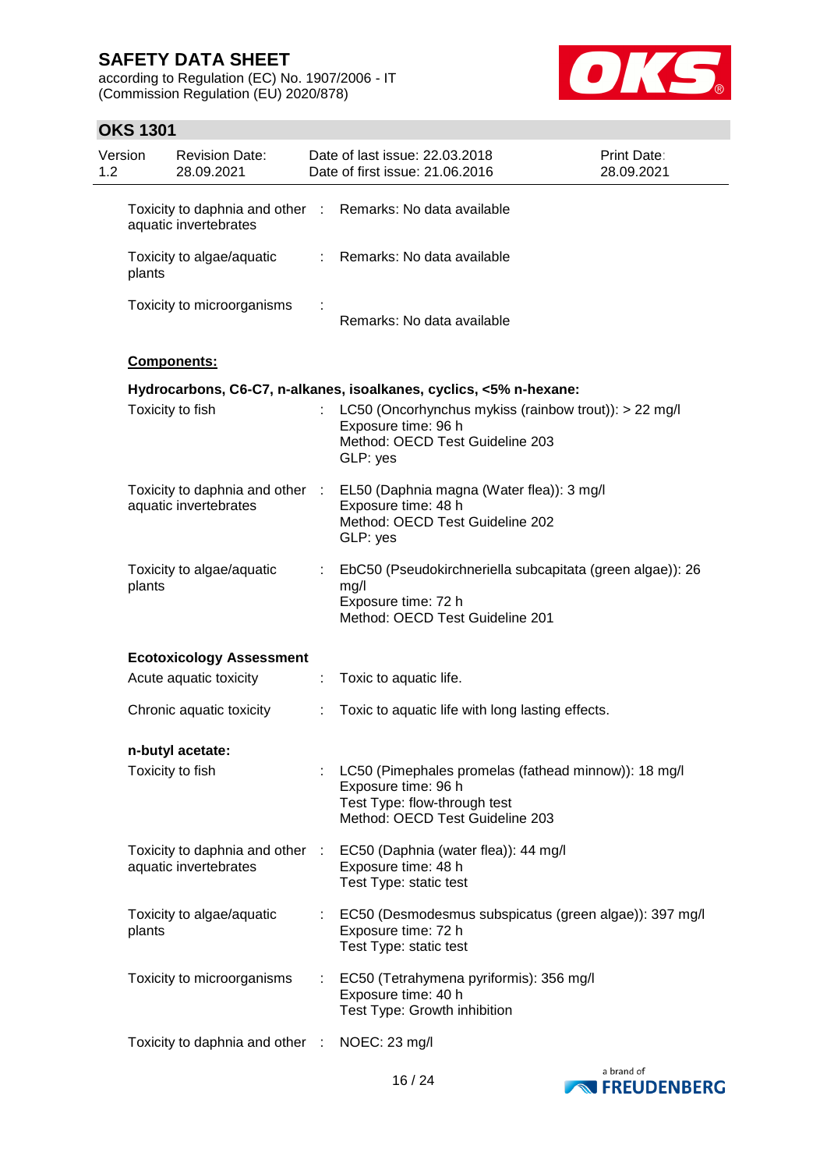according to Regulation (EC) No. 1907/2006 - IT (Commission Regulation (EU) 2020/878)



## **OKS 1301**

| Version<br>1.2 |                  | <b>Revision Date:</b><br>28.09.2021                      |    | Date of last issue: 22.03.2018<br>Date of first issue: 21.06.2016                                                                              | Print Date:<br>28.09.2021 |
|----------------|------------------|----------------------------------------------------------|----|------------------------------------------------------------------------------------------------------------------------------------------------|---------------------------|
|                |                  | aquatic invertebrates                                    |    | Toxicity to daphnia and other : Remarks: No data available                                                                                     |                           |
|                | plants           | Toxicity to algae/aquatic                                |    | : Remarks: No data available                                                                                                                   |                           |
|                |                  | Toxicity to microorganisms                               |    | Remarks: No data available                                                                                                                     |                           |
|                |                  | Components:                                              |    |                                                                                                                                                |                           |
|                |                  |                                                          |    | Hydrocarbons, C6-C7, n-alkanes, isoalkanes, cyclics, <5% n-hexane:                                                                             |                           |
|                | Toxicity to fish |                                                          |    | : LC50 (Oncorhynchus mykiss (rainbow trout)): $> 22$ mg/l<br>Exposure time: 96 h<br>Method: OECD Test Guideline 203<br>GLP: yes                |                           |
|                |                  | Toxicity to daphnia and other :<br>aquatic invertebrates |    | EL50 (Daphnia magna (Water flea)): 3 mg/l<br>Exposure time: 48 h<br>Method: OECD Test Guideline 202<br>GLP: yes                                |                           |
|                | plants           | Toxicity to algae/aquatic                                | t. | EbC50 (Pseudokirchneriella subcapitata (green algae)): 26<br>mg/l<br>Exposure time: 72 h<br>Method: OECD Test Guideline 201                    |                           |
|                |                  | <b>Ecotoxicology Assessment</b>                          |    |                                                                                                                                                |                           |
|                |                  | Acute aquatic toxicity                                   | ÷  | Toxic to aquatic life.                                                                                                                         |                           |
|                |                  | Chronic aquatic toxicity                                 | ÷. | Toxic to aquatic life with long lasting effects.                                                                                               |                           |
|                |                  | n-butyl acetate:                                         |    |                                                                                                                                                |                           |
|                |                  | Toxicity to fish                                         |    | LC50 (Pimephales promelas (fathead minnow)): 18 mg/l<br>Exposure time: 96 h<br>Test Type: flow-through test<br>Method: OECD Test Guideline 203 |                           |
|                |                  | Toxicity to daphnia and other :<br>aquatic invertebrates |    | EC50 (Daphnia (water flea)): 44 mg/l<br>Exposure time: 48 h<br>Test Type: static test                                                          |                           |
|                | plants           | Toxicity to algae/aquatic                                |    | EC50 (Desmodesmus subspicatus (green algae)): 397 mg/l<br>Exposure time: 72 h<br>Test Type: static test                                        |                           |
|                |                  | Toxicity to microorganisms                               |    | EC50 (Tetrahymena pyriformis): 356 mg/l<br>Exposure time: 40 h<br>Test Type: Growth inhibition                                                 |                           |
|                |                  | Toxicity to daphnia and other :                          |    | NOEC: 23 mg/l                                                                                                                                  |                           |

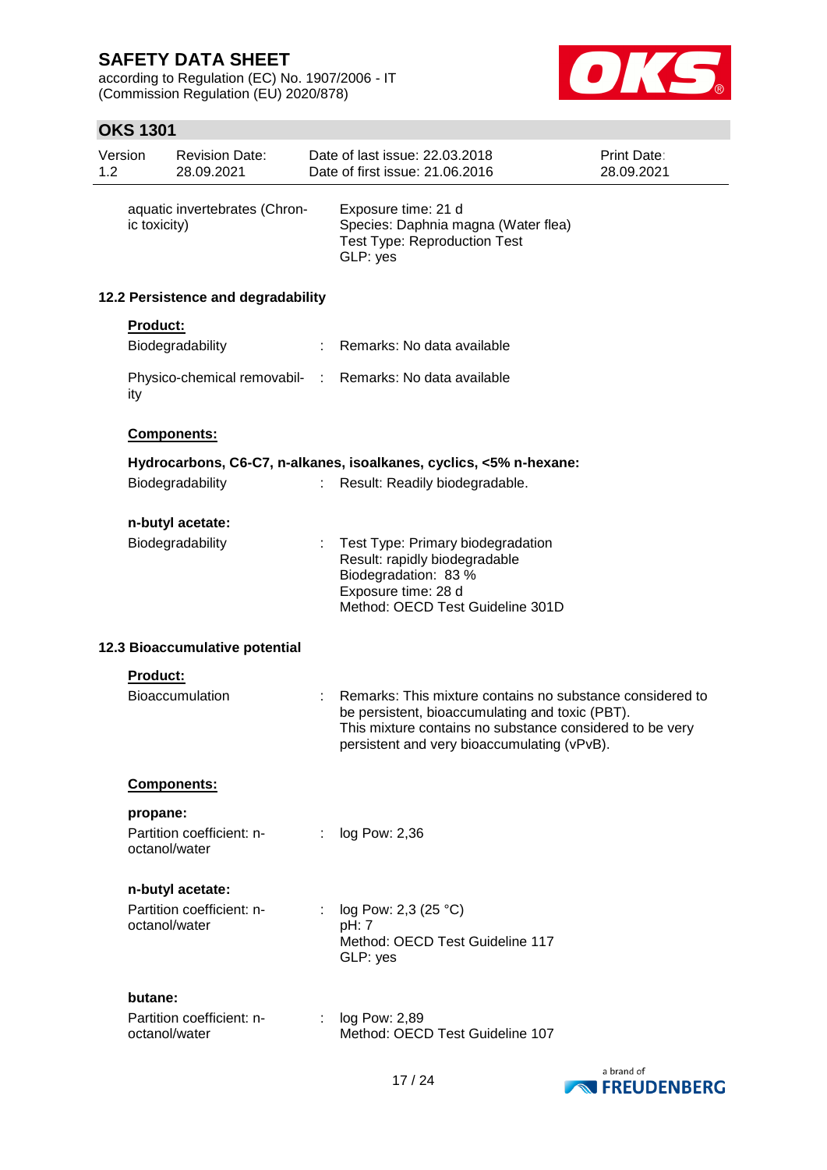according to Regulation (EC) No. 1907/2006 - IT (Commission Regulation (EU) 2020/878)



## **OKS 1301**

| 1.2 | Version       | <b>Revision Date:</b><br>28.09.2021 |    | Date of last issue: 22.03.2018<br>Date of first issue: 21.06.2016                                                                                                                                                       | Print Date:<br>28.09.2021 |
|-----|---------------|-------------------------------------|----|-------------------------------------------------------------------------------------------------------------------------------------------------------------------------------------------------------------------------|---------------------------|
|     | ic toxicity)  | aquatic invertebrates (Chron-       |    | Exposure time: 21 d<br>Species: Daphnia magna (Water flea)<br><b>Test Type: Reproduction Test</b><br>GLP: yes                                                                                                           |                           |
|     |               | 12.2 Persistence and degradability  |    |                                                                                                                                                                                                                         |                           |
|     | Product:      |                                     |    |                                                                                                                                                                                                                         |                           |
|     |               | Biodegradability                    |    | : Remarks: No data available                                                                                                                                                                                            |                           |
|     | ity           |                                     |    | Physico-chemical removabil- : Remarks: No data available                                                                                                                                                                |                           |
|     |               | Components:                         |    |                                                                                                                                                                                                                         |                           |
|     |               |                                     |    | Hydrocarbons, C6-C7, n-alkanes, isoalkanes, cyclics, <5% n-hexane:                                                                                                                                                      |                           |
|     |               | Biodegradability                    | ÷. | Result: Readily biodegradable.                                                                                                                                                                                          |                           |
|     |               | n-butyl acetate:                    |    |                                                                                                                                                                                                                         |                           |
|     |               | Biodegradability                    |    | Test Type: Primary biodegradation<br>Result: rapidly biodegradable<br>Biodegradation: 83 %<br>Exposure time: 28 d<br>Method: OECD Test Guideline 301D                                                                   |                           |
|     |               | 12.3 Bioaccumulative potential      |    |                                                                                                                                                                                                                         |                           |
|     | Product:      |                                     |    |                                                                                                                                                                                                                         |                           |
|     |               | <b>Bioaccumulation</b>              |    | Remarks: This mixture contains no substance considered to<br>be persistent, bioaccumulating and toxic (PBT).<br>This mixture contains no substance considered to be very<br>persistent and very bioaccumulating (vPvB). |                           |
|     |               | <b>Components:</b>                  |    |                                                                                                                                                                                                                         |                           |
|     | propane:      |                                     |    |                                                                                                                                                                                                                         |                           |
|     | octanol/water | Partition coefficient: n-           | ÷. | log Pow: 2,36                                                                                                                                                                                                           |                           |
|     |               | n-butyl acetate:                    |    |                                                                                                                                                                                                                         |                           |
|     | octanol/water | Partition coefficient: n-           |    | log Pow: 2,3 (25 °C)<br>pH: 7<br>Method: OECD Test Guideline 117<br>GLP: yes                                                                                                                                            |                           |
|     | butane:       |                                     |    |                                                                                                                                                                                                                         |                           |
|     | octanol/water | Partition coefficient: n-           |    | : log Pow: 2,89<br>Method: OECD Test Guideline 107                                                                                                                                                                      |                           |

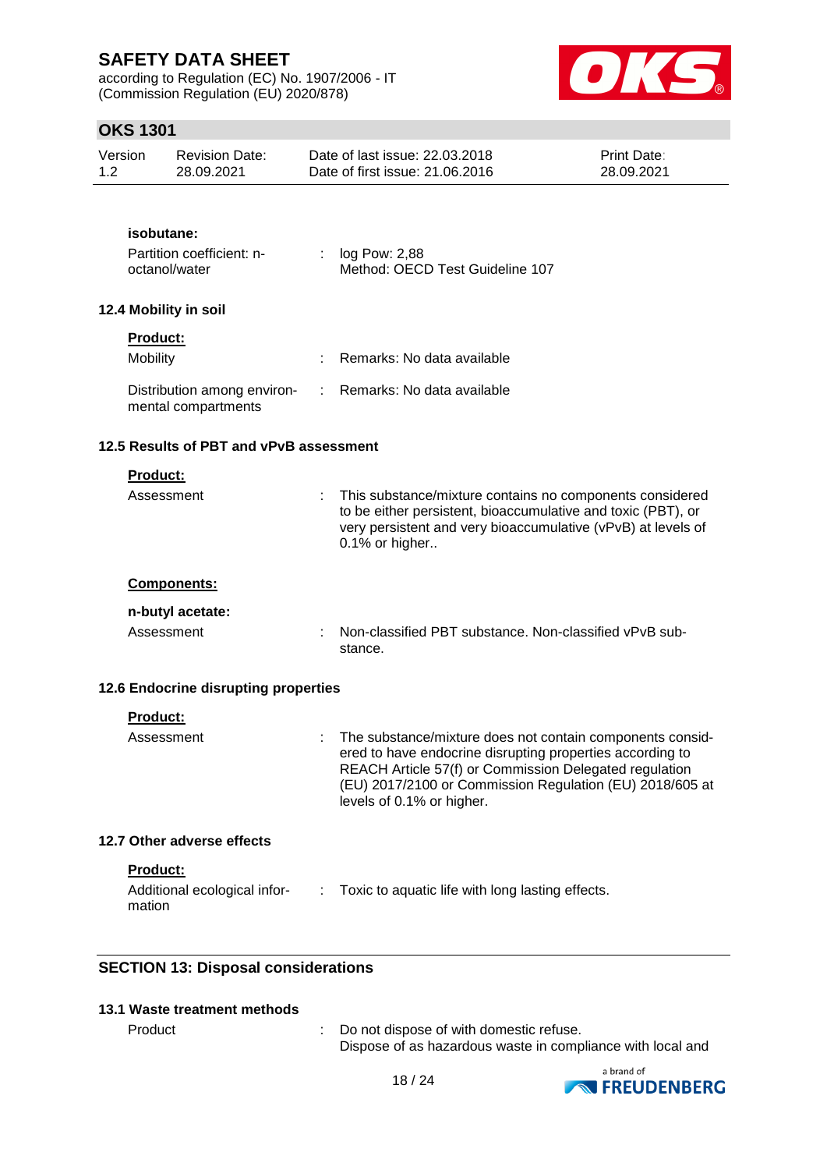according to Regulation (EC) No. 1907/2006 - IT (Commission Regulation (EU) 2020/878)



## **OKS 1301**

| Version | Revision Date: | Date of last issue: 22.03.2018  | <b>Print Date:</b> |
|---------|----------------|---------------------------------|--------------------|
| 1.2     | 28.09.2021     | Date of first issue: 21,06,2016 | 28.09.2021         |

### **isobutane:**

| Partition coefficient: n- | $\therefore$ log Pow: 2,88      |
|---------------------------|---------------------------------|
| octanol/water             | Method: OECD Test Guideline 107 |

### **12.4 Mobility in soil**

| roduc <sup>.</sup> |
|--------------------|
|--------------------|

| <b>Mobility</b>                                                                 | Remarks: No data available |
|---------------------------------------------------------------------------------|----------------------------|
| Distribution among environ- : Remarks: No data available<br>mental compartments |                            |

### **12.5 Results of PBT and vPvB assessment**

| <b>Product:</b><br>Assessment          | This substance/mixture contains no components considered<br>to be either persistent, bioaccumulative and toxic (PBT), or<br>very persistent and very bioaccumulative (vPvB) at levels of<br>$0.1\%$ or higher |
|----------------------------------------|---------------------------------------------------------------------------------------------------------------------------------------------------------------------------------------------------------------|
| <b>Components:</b><br>n-butyl acetate: |                                                                                                                                                                                                               |
| Assessment                             | Non-classified PBT substance. Non-classified vPvB sub-<br>stance.                                                                                                                                             |

## **12.6 Endocrine disrupting properties**

| <b>Product:</b>            |                                                                                                                                                                                                                                                                             |
|----------------------------|-----------------------------------------------------------------------------------------------------------------------------------------------------------------------------------------------------------------------------------------------------------------------------|
| Assessment                 | : The substance/mixture does not contain components consid-<br>ered to have endocrine disrupting properties according to<br>REACH Article 57(f) or Commission Delegated regulation<br>(EU) 2017/2100 or Commission Regulation (EU) 2018/605 at<br>levels of 0.1% or higher. |
| 12.7 Other adverse effects |                                                                                                                                                                                                                                                                             |
| <b>Product:</b>            |                                                                                                                                                                                                                                                                             |

| Additional ecological infor- | Toxic to aquatic life with long lasting effects. |
|------------------------------|--------------------------------------------------|
| mation                       |                                                  |

## **SECTION 13: Disposal considerations**

## **13.1 Waste treatment methods**

Product : Do not dispose of with domestic refuse. Dispose of as hazardous waste in compliance with local and

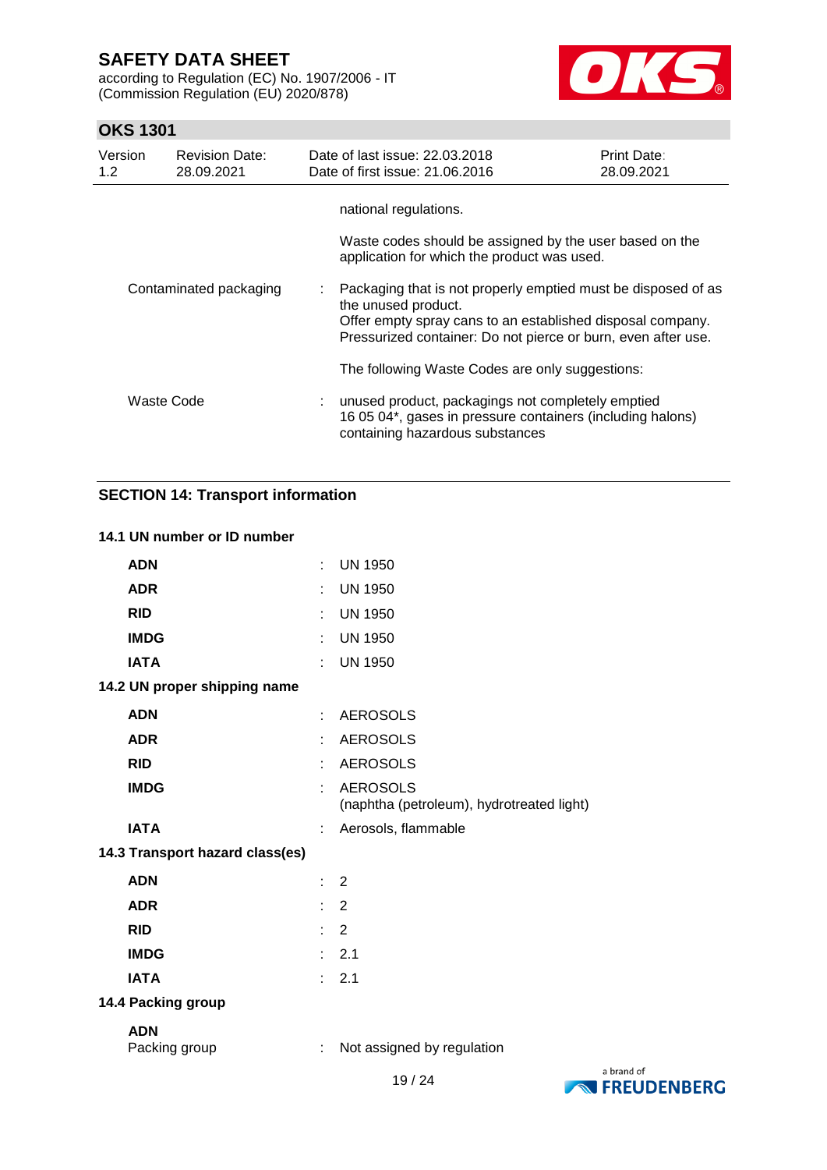according to Regulation (EC) No. 1907/2006 - IT (Commission Regulation (EU) 2020/878)



## **OKS 1301**

| Version<br>1.2         | <b>Revision Date:</b><br>28.09.2021 |    | Date of last issue: 22.03.2018<br>Date of first issue: 21.06.2016                                                                                                                                                   | <b>Print Date:</b><br>28.09.2021 |  |  |
|------------------------|-------------------------------------|----|---------------------------------------------------------------------------------------------------------------------------------------------------------------------------------------------------------------------|----------------------------------|--|--|
|                        |                                     |    | national regulations.                                                                                                                                                                                               |                                  |  |  |
|                        |                                     |    | Waste codes should be assigned by the user based on the<br>application for which the product was used.                                                                                                              |                                  |  |  |
| Contaminated packaging |                                     | t. | Packaging that is not properly emptied must be disposed of as<br>the unused product.<br>Offer empty spray cans to an established disposal company.<br>Pressurized container: Do not pierce or burn, even after use. |                                  |  |  |
| Waste Code             |                                     |    | The following Waste Codes are only suggestions:                                                                                                                                                                     |                                  |  |  |
|                        |                                     |    | unused product, packagings not completely emptied<br>16 05 04*, gases in pressure containers (including halons)<br>containing hazardous substances                                                                  |                                  |  |  |

## **SECTION 14: Transport information**

## **14.1 UN number or ID number**

| <b>ADN</b>                      | ÷. | <b>UN 1950</b>                                               |           |
|---------------------------------|----|--------------------------------------------------------------|-----------|
| <b>ADR</b>                      |    | <b>UN 1950</b>                                               |           |
| <b>RID</b>                      | ÷  | <b>UN 1950</b>                                               |           |
| <b>IMDG</b>                     |    | <b>UN 1950</b>                                               |           |
| <b>IATA</b>                     | ÷  | <b>UN 1950</b>                                               |           |
| 14.2 UN proper shipping name    |    |                                                              |           |
| <b>ADN</b>                      | t. | <b>AEROSOLS</b>                                              |           |
| <b>ADR</b>                      | t. | <b>AEROSOLS</b>                                              |           |
| <b>RID</b>                      |    | <b>AEROSOLS</b>                                              |           |
| <b>IMDG</b>                     |    | <b>AEROSOLS</b><br>(naphtha (petroleum), hydrotreated light) |           |
| <b>IATA</b>                     |    | Aerosols, flammable                                          |           |
| 14.3 Transport hazard class(es) |    |                                                              |           |
| <b>ADN</b>                      | t. | $\overline{2}$                                               |           |
| <b>ADR</b>                      | ÷. | 2                                                            |           |
| <b>RID</b>                      | t. | $\overline{2}$                                               |           |
| <b>IMDG</b>                     | t. | 2.1                                                          |           |
| <b>IATA</b>                     | t. | 2.1                                                          |           |
| 14.4 Packing group              |    |                                                              |           |
| <b>ADN</b><br>Packing group     | ÷  | Not assigned by regulation                                   |           |
|                                 |    | 10101                                                        | a brand o |

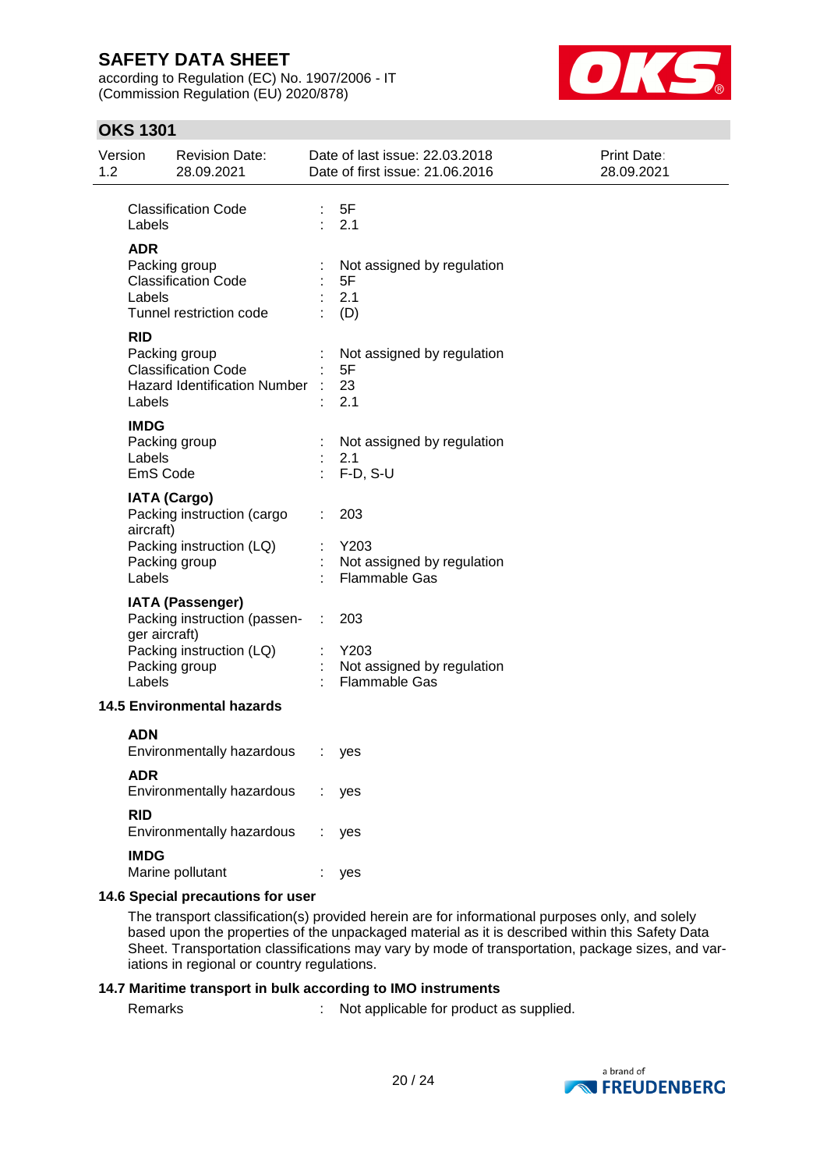according to Regulation (EC) No. 1907/2006 - IT (Commission Regulation (EU) 2020/878)



## **OKS 1301**

| 1.2                               | Version                           | <b>Revision Date:</b><br>28.09.2021                                                                        |                               | Date of last issue: 22.03.2018<br>Date of first issue: 21.06.2016 | <b>Print Date:</b><br>28.09.2021 |
|-----------------------------------|-----------------------------------|------------------------------------------------------------------------------------------------------------|-------------------------------|-------------------------------------------------------------------|----------------------------------|
|                                   | Labels                            | <b>Classification Code</b>                                                                                 | $\mathbb{Z}^{\times}$ .       | 5F<br>2.1                                                         |                                  |
|                                   | <b>ADR</b><br>Labels              | Packing group<br><b>Classification Code</b><br>Tunnel restriction code                                     |                               | Not assigned by regulation<br>5F<br>2.1<br>(D)                    |                                  |
|                                   | <b>RID</b><br>Labels              | Packing group<br><b>Classification Code</b><br>Hazard Identification Number :                              |                               | Not assigned by regulation<br>5F<br>23<br>2.1                     |                                  |
|                                   | <b>IMDG</b><br>Labels<br>EmS Code | Packing group                                                                                              | ÷                             | Not assigned by regulation<br>2.1<br>F-D, S-U                     |                                  |
|                                   | aircraft)<br>Labels               | <b>IATA (Cargo)</b><br>Packing instruction (cargo<br>Packing instruction (LQ)<br>Packing group             |                               | 203<br>Y203<br>Not assigned by regulation<br><b>Flammable Gas</b> |                                  |
|                                   | ger aircraft)<br>Labels           | <b>IATA (Passenger)</b><br>Packing instruction (passen- : 203<br>Packing instruction (LQ)<br>Packing group |                               | Y203<br>Not assigned by regulation<br><b>Flammable Gas</b>        |                                  |
| <b>14.5 Environmental hazards</b> |                                   |                                                                                                            |                               |                                                                   |                                  |
|                                   | <b>ADN</b>                        | Environmentally hazardous                                                                                  | $\mathcal{I}^{\mathcal{A}}$ . | yes                                                               |                                  |
|                                   | <b>ADR</b>                        | Environmentally hazardous                                                                                  |                               | yes                                                               |                                  |
|                                   | <b>RID</b>                        | Environmentally hazardous                                                                                  |                               | yes                                                               |                                  |
|                                   | <b>IMDG</b>                       | Marine pollutant                                                                                           |                               | yes                                                               |                                  |

### **14.6 Special precautions for user**

The transport classification(s) provided herein are for informational purposes only, and solely based upon the properties of the unpackaged material as it is described within this Safety Data Sheet. Transportation classifications may vary by mode of transportation, package sizes, and variations in regional or country regulations.

### **14.7 Maritime transport in bulk according to IMO instruments**

Remarks : Not applicable for product as supplied.

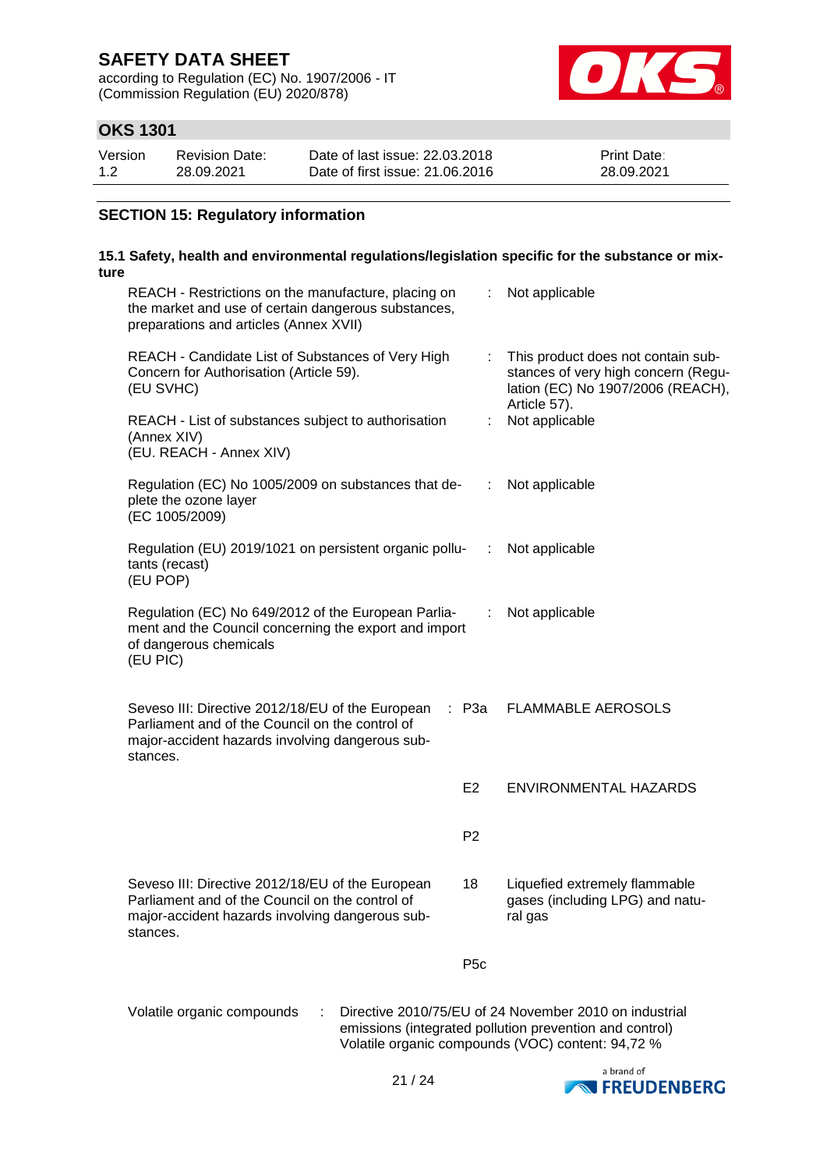according to Regulation (EC) No. 1907/2006 - IT (Commission Regulation (EU) 2020/878)



## **OKS 1301**

| Version | <b>Revision Date:</b> | Date of last issue: 22,03,2018  | <b>Print Date:</b> |
|---------|-----------------------|---------------------------------|--------------------|
| 1.2     | 28.09.2021            | Date of first issue: 21,06,2016 | 28.09.2021         |

### **SECTION 15: Regulatory information**

#### **15.1 Safety, health and environmental regulations/legislation specific for the substance or mixture** REACH - Restrictions on the manufacture, placing on the market and use of certain dangerous substances, preparations and articles (Annex XVII) : Not applicable REACH - Candidate List of Substances of Very High Concern for Authorisation (Article 59). (EU SVHC) : This product does not contain substances of very high concern (Regulation (EC) No 1907/2006 (REACH), Article 57). REACH - List of substances subject to authorisation (Annex XIV) (EU. REACH - Annex XIV) : Not applicable Regulation (EC) No 1005/2009 on substances that deplete the ozone layer (EC 1005/2009) : Not applicable Regulation (EU) 2019/1021 on persistent organic pollutants (recast) (EU POP) : Not applicable Regulation (EC) No 649/2012 of the European Parliament and the Council concerning the export and import of dangerous chemicals (EU PIC) : Not applicable

| Seveso III: Directive 2012/18/EU of the European : P3a FLAMMABLE AEROSOLS |  |  |
|---------------------------------------------------------------------------|--|--|
| Parliament and of the Council on the control of                           |  |  |
| major-accident hazards involving dangerous sub-                           |  |  |
| stances.                                                                  |  |  |
|                                                                           |  |  |

Seveso III: Directive 2012/18/EU of the European Parliament and of the Council on the control of major-accident hazards involving dangerous sub-

stances.

E2 ENVIRONMENTAL HAZARDS

P2

18 Liquefied extremely flammable gases (including LPG) and natural gas

P5c

Volatile organic compounds : Directive 2010/75/EU of 24 November 2010 on industrial emissions (integrated pollution prevention and control) Volatile organic compounds (VOC) content: 94,72 %

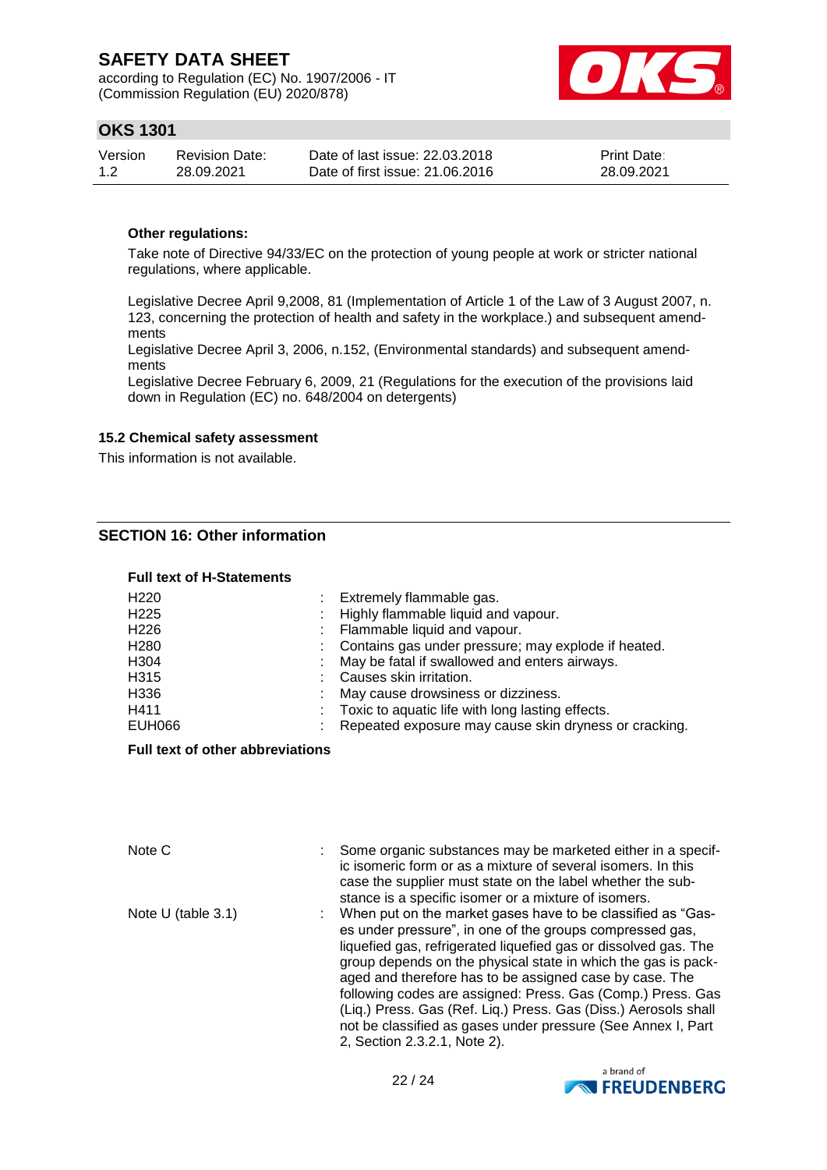according to Regulation (EC) No. 1907/2006 - IT (Commission Regulation (EU) 2020/878)



## **OKS 1301**

| Version | <b>Revision Date:</b> | Date of last issue: 22,03,2018  | <b>Print Date:</b> |
|---------|-----------------------|---------------------------------|--------------------|
| 1.2     | 28.09.2021            | Date of first issue: 21,06,2016 | 28.09.2021         |

### **Other regulations:**

Take note of Directive 94/33/EC on the protection of young people at work or stricter national regulations, where applicable.

Legislative Decree April 9,2008, 81 (Implementation of Article 1 of the Law of 3 August 2007, n. 123, concerning the protection of health and safety in the workplace.) and subsequent amendments

Legislative Decree April 3, 2006, n.152, (Environmental standards) and subsequent amendments

Legislative Decree February 6, 2009, 21 (Regulations for the execution of the provisions laid down in Regulation (EC) no. 648/2004 on detergents)

### **15.2 Chemical safety assessment**

This information is not available.

## **SECTION 16: Other information**

#### **Full text of H-Statements**

| H <sub>220</sub>  | Extremely flammable gas.                              |
|-------------------|-------------------------------------------------------|
| H <sub>225</sub>  | Highly flammable liquid and vapour.                   |
| H <sub>226</sub>  | Flammable liquid and vapour.                          |
| H <sub>280</sub>  | Contains gas under pressure; may explode if heated.   |
| H <sub>304</sub>  | May be fatal if swallowed and enters airways.         |
| H <sub>3</sub> 15 | Causes skin irritation.                               |
| H336              | May cause drowsiness or dizziness.                    |
| H411              | Toxic to aquatic life with long lasting effects.      |
| EUH066            | Repeated exposure may cause skin dryness or cracking. |

#### **Full text of other abbreviations**

| Note C               | Some organic substances may be marketed either in a specif-<br>ic isomeric form or as a mixture of several isomers. In this<br>case the supplier must state on the label whether the sub-<br>stance is a specific isomer or a mixture of isomers.                                                                                                                                                                                                                                                                                                        |
|----------------------|----------------------------------------------------------------------------------------------------------------------------------------------------------------------------------------------------------------------------------------------------------------------------------------------------------------------------------------------------------------------------------------------------------------------------------------------------------------------------------------------------------------------------------------------------------|
| Note $U$ (table 3.1) | When put on the market gases have to be classified as "Gas-<br>es under pressure", in one of the groups compressed gas,<br>liquefied gas, refrigerated liquefied gas or dissolved gas. The<br>group depends on the physical state in which the gas is pack-<br>aged and therefore has to be assigned case by case. The<br>following codes are assigned: Press. Gas (Comp.) Press. Gas<br>(Liq.) Press. Gas (Ref. Liq.) Press. Gas (Diss.) Aerosols shall<br>not be classified as gases under pressure (See Annex I, Part<br>2, Section 2.3.2.1, Note 2). |

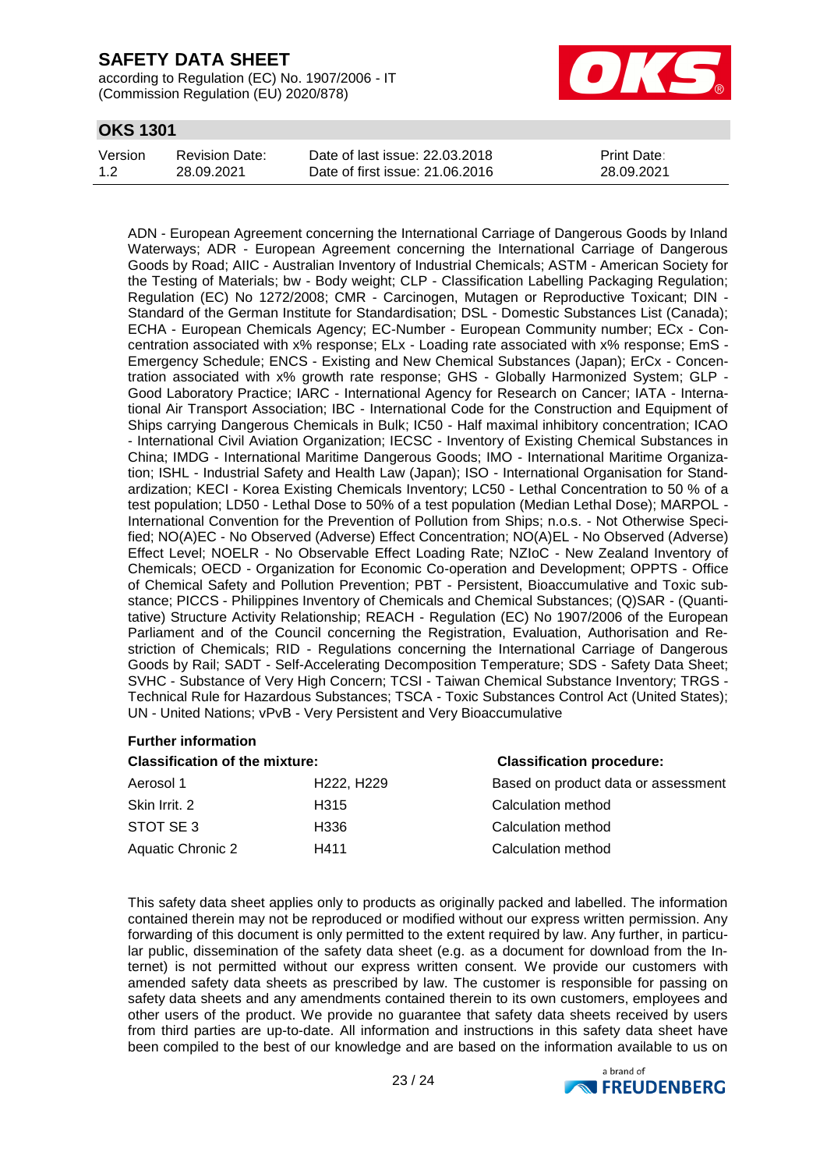according to Regulation (EC) No. 1907/2006 - IT (Commission Regulation (EU) 2020/878)



## **OKS 1301**

| Version | Revision Date: | Date of last issue: 22,03,2018  | <b>Print Date:</b> |
|---------|----------------|---------------------------------|--------------------|
| 1.2     | 28.09.2021     | Date of first issue: 21,06,2016 | 28.09.2021         |

ADN - European Agreement concerning the International Carriage of Dangerous Goods by Inland Waterways; ADR - European Agreement concerning the International Carriage of Dangerous Goods by Road; AIIC - Australian Inventory of Industrial Chemicals; ASTM - American Society for the Testing of Materials; bw - Body weight; CLP - Classification Labelling Packaging Regulation; Regulation (EC) No 1272/2008; CMR - Carcinogen, Mutagen or Reproductive Toxicant; DIN - Standard of the German Institute for Standardisation; DSL - Domestic Substances List (Canada); ECHA - European Chemicals Agency; EC-Number - European Community number; ECx - Concentration associated with x% response; ELx - Loading rate associated with x% response; EmS - Emergency Schedule; ENCS - Existing and New Chemical Substances (Japan); ErCx - Concentration associated with x% growth rate response; GHS - Globally Harmonized System; GLP - Good Laboratory Practice; IARC - International Agency for Research on Cancer; IATA - International Air Transport Association; IBC - International Code for the Construction and Equipment of Ships carrying Dangerous Chemicals in Bulk; IC50 - Half maximal inhibitory concentration; ICAO - International Civil Aviation Organization; IECSC - Inventory of Existing Chemical Substances in China; IMDG - International Maritime Dangerous Goods; IMO - International Maritime Organization; ISHL - Industrial Safety and Health Law (Japan); ISO - International Organisation for Standardization; KECI - Korea Existing Chemicals Inventory; LC50 - Lethal Concentration to 50 % of a test population; LD50 - Lethal Dose to 50% of a test population (Median Lethal Dose); MARPOL - International Convention for the Prevention of Pollution from Ships; n.o.s. - Not Otherwise Specified; NO(A)EC - No Observed (Adverse) Effect Concentration; NO(A)EL - No Observed (Adverse) Effect Level; NOELR - No Observable Effect Loading Rate; NZIoC - New Zealand Inventory of Chemicals; OECD - Organization for Economic Co-operation and Development; OPPTS - Office of Chemical Safety and Pollution Prevention; PBT - Persistent, Bioaccumulative and Toxic substance; PICCS - Philippines Inventory of Chemicals and Chemical Substances; (Q)SAR - (Quantitative) Structure Activity Relationship; REACH - Regulation (EC) No 1907/2006 of the European Parliament and of the Council concerning the Registration, Evaluation, Authorisation and Restriction of Chemicals; RID - Regulations concerning the International Carriage of Dangerous Goods by Rail; SADT - Self-Accelerating Decomposition Temperature; SDS - Safety Data Sheet; SVHC - Substance of Very High Concern; TCSI - Taiwan Chemical Substance Inventory; TRGS - Technical Rule for Hazardous Substances; TSCA - Toxic Substances Control Act (United States); UN - United Nations; vPvB - Very Persistent and Very Bioaccumulative

#### **Further information**

| <b>Classification of the mixture:</b> |                                     | <b>Classification procedure:</b>    |
|---------------------------------------|-------------------------------------|-------------------------------------|
| Aerosol 1                             | H <sub>222</sub> , H <sub>229</sub> | Based on product data or assessment |
| Skin Irrit, 2                         | H315                                | Calculation method                  |
| STOT SE3                              | H336                                | Calculation method                  |
| Aquatic Chronic 2                     | H411                                | Calculation method                  |

This safety data sheet applies only to products as originally packed and labelled. The information contained therein may not be reproduced or modified without our express written permission. Any forwarding of this document is only permitted to the extent required by law. Any further, in particular public, dissemination of the safety data sheet (e.g. as a document for download from the Internet) is not permitted without our express written consent. We provide our customers with amended safety data sheets as prescribed by law. The customer is responsible for passing on safety data sheets and any amendments contained therein to its own customers, employees and other users of the product. We provide no guarantee that safety data sheets received by users from third parties are up-to-date. All information and instructions in this safety data sheet have been compiled to the best of our knowledge and are based on the information available to us on